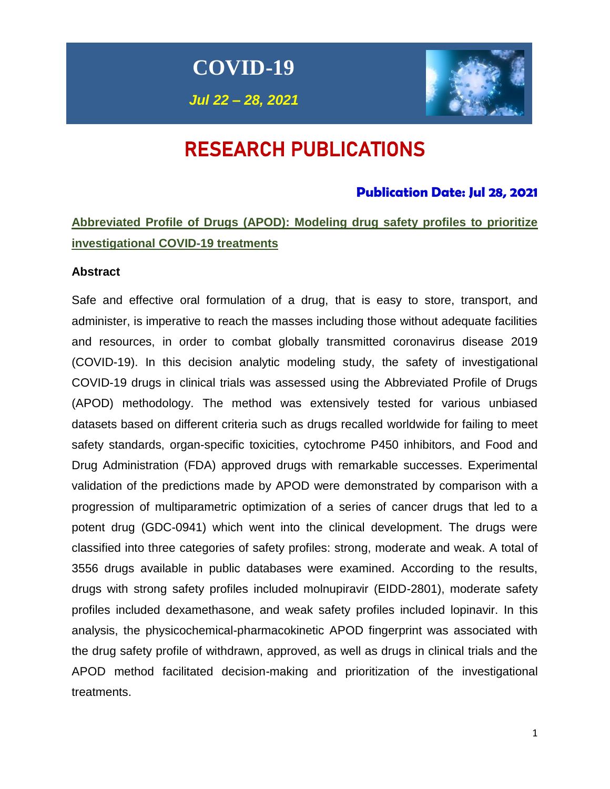**COVID-19**

*Jul 22 – 28, 2021*



# RESEARCH PUBLICATIONS

### **Publication Date: Jul 28, 2021**

# **Abbreviated Profile of Drugs (APOD): Modeling drug safety profiles to prioritize investigational COVID-19 treatments**

#### **Abstract**

Safe and effective oral formulation of a drug, that is easy to store, transport, and administer, is imperative to reach the masses including those without adequate facilities and resources, in order to combat globally transmitted coronavirus disease 2019 (COVID-19). In this decision analytic modeling study, the safety of investigational COVID-19 drugs in clinical trials was assessed using the Abbreviated Profile of Drugs (APOD) methodology. The method was extensively tested for various unbiased datasets based on different criteria such as drugs recalled worldwide for failing to meet safety standards, organ-specific toxicities, cytochrome P450 inhibitors, and Food and Drug Administration (FDA) approved drugs with remarkable successes. Experimental validation of the predictions made by APOD were demonstrated by comparison with a progression of multiparametric optimization of a series of cancer drugs that led to a potent drug (GDC-0941) which went into the clinical development. The drugs were classified into three categories of safety profiles: strong, moderate and weak. A total of 3556 drugs available in public databases were examined. According to the results, drugs with strong safety profiles included molnupiravir (EIDD-2801), moderate safety profiles included dexamethasone, and weak safety profiles included lopinavir. In this analysis, the physicochemical-pharmacokinetic APOD fingerprint was associated with the drug safety profile of withdrawn, approved, as well as drugs in clinical trials and the APOD method facilitated decision-making and prioritization of the investigational treatments.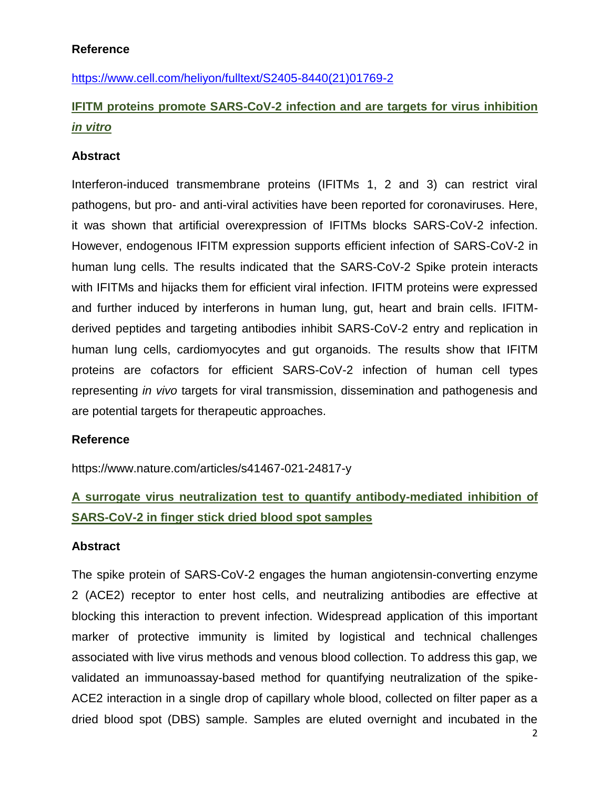### **Reference**

[https://www.cell.com/heliyon/fulltext/S2405-8440\(21\)01769-2](https://www.cell.com/heliyon/fulltext/S2405-8440(21)01769-2)

# **IFITM proteins promote SARS-CoV-2 infection and are targets for virus inhibition**  *in vitro*

### **Abstract**

Interferon-induced transmembrane proteins (IFITMs 1, 2 and 3) can restrict viral pathogens, but pro- and anti-viral activities have been reported for coronaviruses. Here, it was shown that artificial overexpression of IFITMs blocks SARS-CoV-2 infection. However, endogenous IFITM expression supports efficient infection of SARS-CoV-2 in human lung cells. The results indicated that the SARS-CoV-2 Spike protein interacts with IFITMs and hijacks them for efficient viral infection. IFITM proteins were expressed and further induced by interferons in human lung, gut, heart and brain cells. IFITMderived peptides and targeting antibodies inhibit SARS-CoV-2 entry and replication in human lung cells, cardiomyocytes and gut organoids. The results show that IFITM proteins are cofactors for efficient SARS-CoV-2 infection of human cell types representing *in vivo* targets for viral transmission, dissemination and pathogenesis and are potential targets for therapeutic approaches.

#### **Reference**

https://www.nature.com/articles/s41467-021-24817-y

# **A surrogate virus neutralization test to quantify antibody-mediated inhibition of SARS-CoV-2 in finger stick dried blood spot samples**

#### **Abstract**

The spike protein of SARS-CoV-2 engages the human angiotensin-converting enzyme 2 (ACE2) receptor to enter host cells, and neutralizing antibodies are effective at blocking this interaction to prevent infection. Widespread application of this important marker of protective immunity is limited by logistical and technical challenges associated with live virus methods and venous blood collection. To address this gap, we validated an immunoassay-based method for quantifying neutralization of the spike-ACE2 interaction in a single drop of capillary whole blood, collected on filter paper as a dried blood spot (DBS) sample. Samples are eluted overnight and incubated in the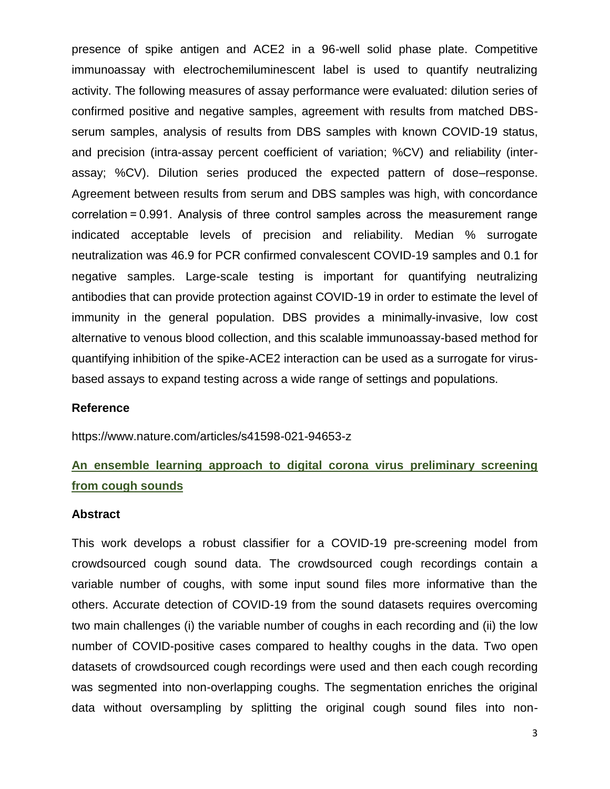presence of spike antigen and ACE2 in a 96-well solid phase plate. Competitive immunoassay with electrochemiluminescent label is used to quantify neutralizing activity. The following measures of assay performance were evaluated: dilution series of confirmed positive and negative samples, agreement with results from matched DBSserum samples, analysis of results from DBS samples with known COVID-19 status, and precision (intra-assay percent coefficient of variation; %CV) and reliability (interassay; %CV). Dilution series produced the expected pattern of dose–response. Agreement between results from serum and DBS samples was high, with concordance correlation = 0.991. Analysis of three control samples across the measurement range indicated acceptable levels of precision and reliability. Median % surrogate neutralization was 46.9 for PCR confirmed convalescent COVID-19 samples and 0.1 for negative samples. Large-scale testing is important for quantifying neutralizing antibodies that can provide protection against COVID-19 in order to estimate the level of immunity in the general population. DBS provides a minimally-invasive, low cost alternative to venous blood collection, and this scalable immunoassay-based method for quantifying inhibition of the spike-ACE2 interaction can be used as a surrogate for virusbased assays to expand testing across a wide range of settings and populations.

### **Reference**

https://www.nature.com/articles/s41598-021-94653-z

### **An ensemble learning approach to digital corona virus preliminary screening from cough sounds**

#### **Abstract**

This work develops a robust classifier for a COVID-19 pre-screening model from crowdsourced cough sound data. The crowdsourced cough recordings contain a variable number of coughs, with some input sound files more informative than the others. Accurate detection of COVID-19 from the sound datasets requires overcoming two main challenges (i) the variable number of coughs in each recording and (ii) the low number of COVID-positive cases compared to healthy coughs in the data. Two open datasets of crowdsourced cough recordings were used and then each cough recording was segmented into non-overlapping coughs. The segmentation enriches the original data without oversampling by splitting the original cough sound files into non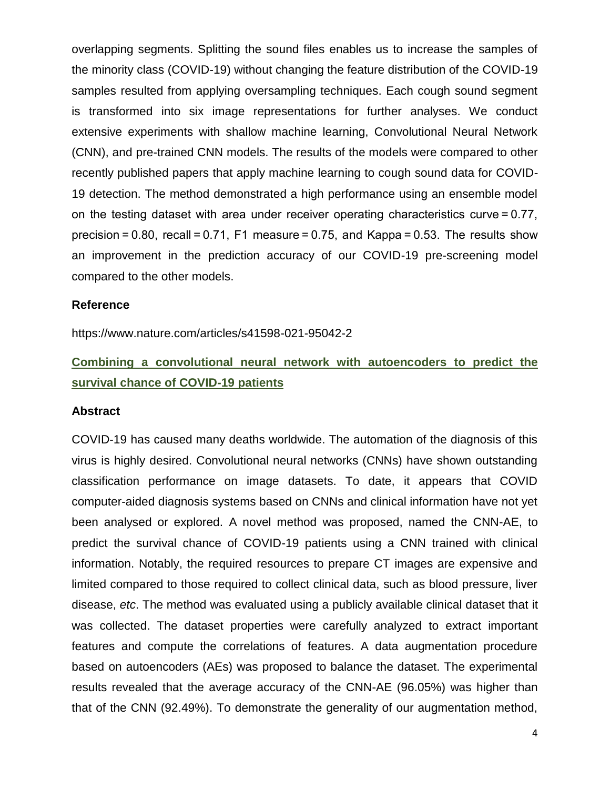overlapping segments. Splitting the sound files enables us to increase the samples of the minority class (COVID-19) without changing the feature distribution of the COVID-19 samples resulted from applying oversampling techniques. Each cough sound segment is transformed into six image representations for further analyses. We conduct extensive experiments with shallow machine learning, Convolutional Neural Network (CNN), and pre-trained CNN models. The results of the models were compared to other recently published papers that apply machine learning to cough sound data for COVID-19 detection. The method demonstrated a high performance using an ensemble model on the testing dataset with area under receiver operating characteristics curve = 0.77, precision  $= 0.80$ , recall  $= 0.71$ , F1 measure  $= 0.75$ , and Kappa $= 0.53$ . The results show an improvement in the prediction accuracy of our COVID-19 pre-screening model compared to the other models.

#### **Reference**

https://www.nature.com/articles/s41598-021-95042-2

# **Combining a convolutional neural network with autoencoders to predict the survival chance of COVID-19 patients**

#### **Abstract**

COVID-19 has caused many deaths worldwide. The automation of the diagnosis of this virus is highly desired. Convolutional neural networks (CNNs) have shown outstanding classification performance on image datasets. To date, it appears that COVID computer-aided diagnosis systems based on CNNs and clinical information have not yet been analysed or explored. A novel method was proposed, named the CNN-AE, to predict the survival chance of COVID-19 patients using a CNN trained with clinical information. Notably, the required resources to prepare CT images are expensive and limited compared to those required to collect clinical data, such as blood pressure, liver disease, *etc*. The method was evaluated using a publicly available clinical dataset that it was collected. The dataset properties were carefully analyzed to extract important features and compute the correlations of features. A data augmentation procedure based on autoencoders (AEs) was proposed to balance the dataset. The experimental results revealed that the average accuracy of the CNN-AE (96.05%) was higher than that of the CNN (92.49%). To demonstrate the generality of our augmentation method,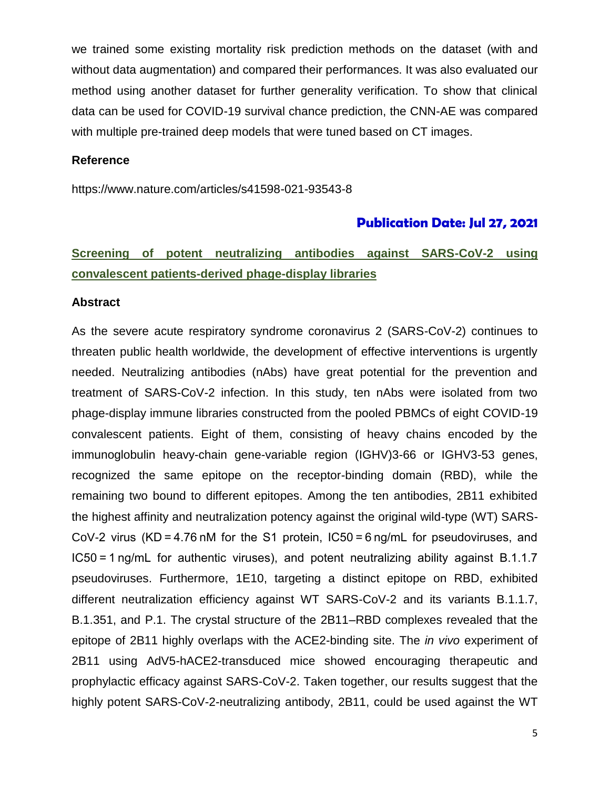we trained some existing mortality risk prediction methods on the dataset (with and without data augmentation) and compared their performances. It was also evaluated our method using another dataset for further generality verification. To show that clinical data can be used for COVID-19 survival chance prediction, the CNN-AE was compared with multiple pre-trained deep models that were tuned based on CT images.

#### **Reference**

https://www.nature.com/articles/s41598-021-93543-8

#### **Publication Date: Jul 27, 2021**

## **Screening of potent neutralizing antibodies against SARS-CoV-2 using convalescent patients-derived phage-display libraries**

#### **Abstract**

As the severe acute respiratory syndrome coronavirus 2 (SARS-CoV-2) continues to threaten public health worldwide, the development of effective interventions is urgently needed. Neutralizing antibodies (nAbs) have great potential for the prevention and treatment of SARS-CoV-2 infection. In this study, ten nAbs were isolated from two phage-display immune libraries constructed from the pooled PBMCs of eight COVID-19 convalescent patients. Eight of them, consisting of heavy chains encoded by the immunoglobulin heavy-chain gene-variable region (IGHV)3-66 or IGHV3-53 genes, recognized the same epitope on the receptor-binding domain (RBD), while the remaining two bound to different epitopes. Among the ten antibodies, 2B11 exhibited the highest affinity and neutralization potency against the original wild-type (WT) SARS-CoV-2 virus (KD = 4.76 nM for the S1 protein, IC50 = 6 ng/mL for pseudoviruses, and IC50 = 1 ng/mL for authentic viruses), and potent neutralizing ability against B.1.1.7 pseudoviruses. Furthermore, 1E10, targeting a distinct epitope on RBD, exhibited different neutralization efficiency against WT SARS-CoV-2 and its variants B.1.1.7, B.1.351, and P.1. The crystal structure of the 2B11–RBD complexes revealed that the epitope of 2B11 highly overlaps with the ACE2-binding site. The *in vivo* experiment of 2B11 using AdV5-hACE2-transduced mice showed encouraging therapeutic and prophylactic efficacy against SARS-CoV-2. Taken together, our results suggest that the highly potent SARS-CoV-2-neutralizing antibody, 2B11, could be used against the WT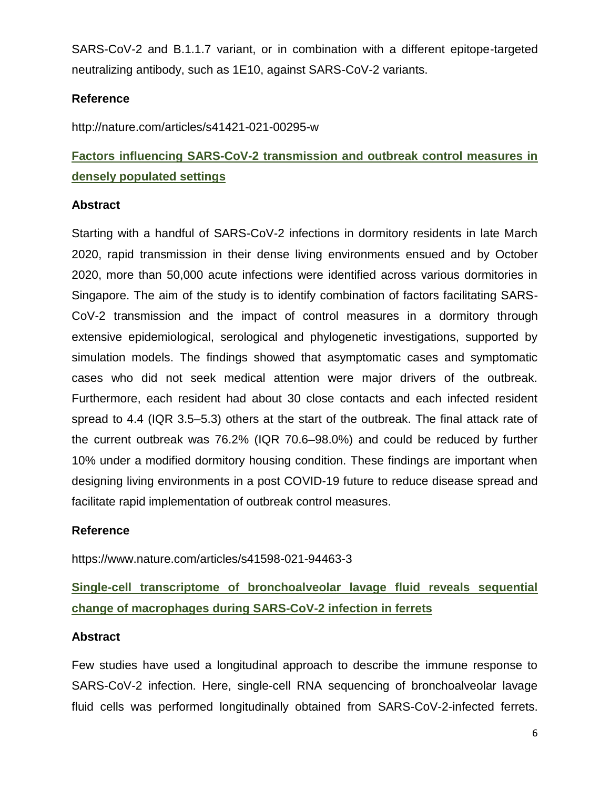SARS-CoV-2 and B.1.1.7 variant, or in combination with a different epitope-targeted neutralizing antibody, such as 1E10, against SARS-CoV-2 variants.

### **Reference**

http://nature.com/articles/s41421-021-00295-w

# **Factors influencing SARS-CoV-2 transmission and outbreak control measures in densely populated settings**

### **Abstract**

Starting with a handful of SARS-CoV-2 infections in dormitory residents in late March 2020, rapid transmission in their dense living environments ensued and by October 2020, more than 50,000 acute infections were identified across various dormitories in Singapore. The aim of the study is to identify combination of factors facilitating SARS-CoV-2 transmission and the impact of control measures in a dormitory through extensive epidemiological, serological and phylogenetic investigations, supported by simulation models. The findings showed that asymptomatic cases and symptomatic cases who did not seek medical attention were major drivers of the outbreak. Furthermore, each resident had about 30 close contacts and each infected resident spread to 4.4 (IQR 3.5–5.3) others at the start of the outbreak. The final attack rate of the current outbreak was 76.2% (IQR 70.6–98.0%) and could be reduced by further 10% under a modified dormitory housing condition. These findings are important when designing living environments in a post COVID-19 future to reduce disease spread and facilitate rapid implementation of outbreak control measures.

#### **Reference**

https://www.nature.com/articles/s41598-021-94463-3

# **Single-cell transcriptome of bronchoalveolar lavage fluid reveals sequential change of macrophages during SARS-CoV-2 infection in ferrets**

#### **Abstract**

Few studies have used a longitudinal approach to describe the immune response to SARS-CoV-2 infection. Here, single-cell RNA sequencing of bronchoalveolar lavage fluid cells was performed longitudinally obtained from SARS-CoV-2-infected ferrets.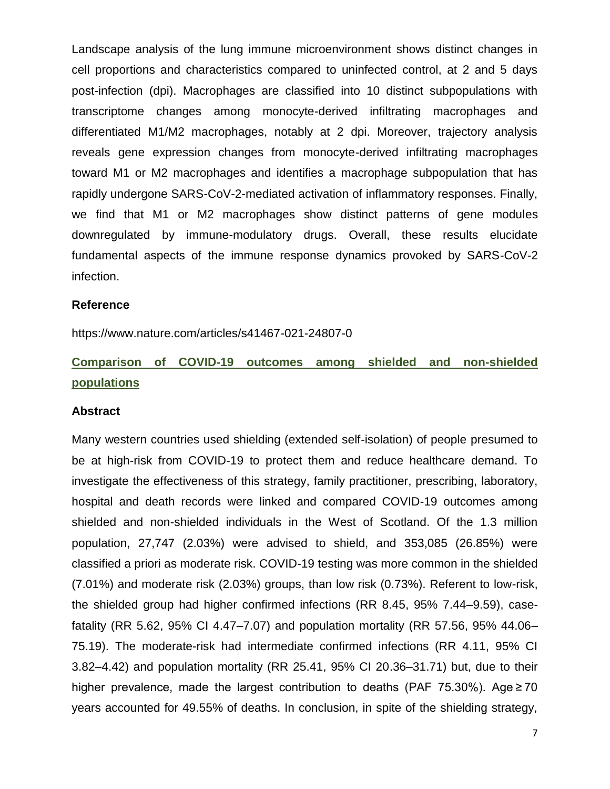Landscape analysis of the lung immune microenvironment shows distinct changes in cell proportions and characteristics compared to uninfected control, at 2 and 5 days post-infection (dpi). Macrophages are classified into 10 distinct subpopulations with transcriptome changes among monocyte-derived infiltrating macrophages and differentiated M1/M2 macrophages, notably at 2 dpi. Moreover, trajectory analysis reveals gene expression changes from monocyte-derived infiltrating macrophages toward M1 or M2 macrophages and identifies a macrophage subpopulation that has rapidly undergone SARS-CoV-2-mediated activation of inflammatory responses. Finally, we find that M1 or M2 macrophages show distinct patterns of gene modules downregulated by immune-modulatory drugs. Overall, these results elucidate fundamental aspects of the immune response dynamics provoked by SARS-CoV-2 infection.

#### **Reference**

https://www.nature.com/articles/s41467-021-24807-0

# **Comparison of COVID-19 outcomes among shielded and non-shielded populations**

#### **Abstract**

Many western countries used shielding (extended self-isolation) of people presumed to be at high-risk from COVID-19 to protect them and reduce healthcare demand. To investigate the effectiveness of this strategy, family practitioner, prescribing, laboratory, hospital and death records were linked and compared COVID-19 outcomes among shielded and non-shielded individuals in the West of Scotland. Of the 1.3 million population, 27,747 (2.03%) were advised to shield, and 353,085 (26.85%) were classified a priori as moderate risk. COVID-19 testing was more common in the shielded (7.01%) and moderate risk (2.03%) groups, than low risk (0.73%). Referent to low-risk, the shielded group had higher confirmed infections (RR 8.45, 95% 7.44–9.59), casefatality (RR 5.62, 95% CI 4.47–7.07) and population mortality (RR 57.56, 95% 44.06– 75.19). The moderate-risk had intermediate confirmed infections (RR 4.11, 95% CI 3.82–4.42) and population mortality (RR 25.41, 95% CI 20.36–31.71) but, due to their higher prevalence, made the largest contribution to deaths (PAF 75.30%). Age ≥ 70 years accounted for 49.55% of deaths. In conclusion, in spite of the shielding strategy,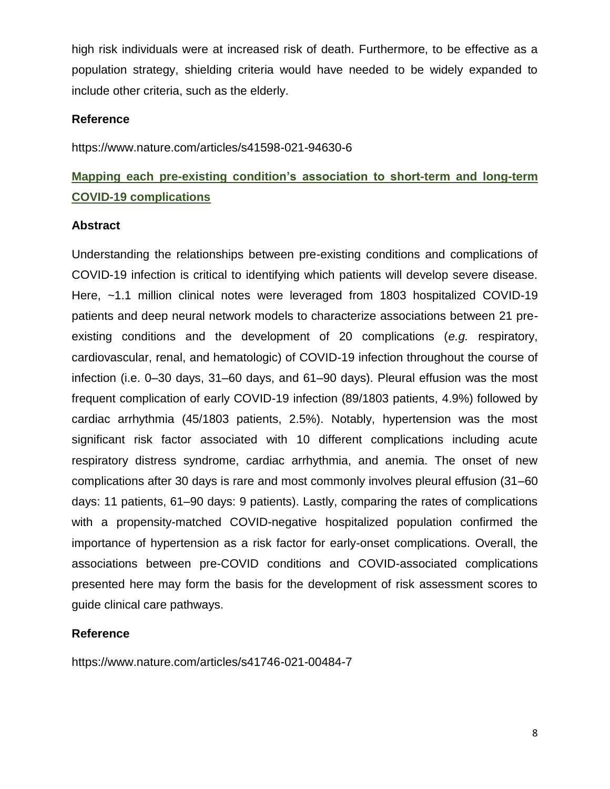high risk individuals were at increased risk of death. Furthermore, to be effective as a population strategy, shielding criteria would have needed to be widely expanded to include other criteria, such as the elderly.

#### **Reference**

https://www.nature.com/articles/s41598-021-94630-6

## **Mapping each pre-existing condition's association to short-term and long-term COVID-19 complications**

#### **Abstract**

Understanding the relationships between pre-existing conditions and complications of COVID-19 infection is critical to identifying which patients will develop severe disease. Here, ~1.1 million clinical notes were leveraged from 1803 hospitalized COVID-19 patients and deep neural network models to characterize associations between 21 preexisting conditions and the development of 20 complications (*e.g.* respiratory, cardiovascular, renal, and hematologic) of COVID-19 infection throughout the course of infection (i.e. 0–30 days, 31–60 days, and 61–90 days). Pleural effusion was the most frequent complication of early COVID-19 infection (89/1803 patients, 4.9%) followed by cardiac arrhythmia (45/1803 patients, 2.5%). Notably, hypertension was the most significant risk factor associated with 10 different complications including acute respiratory distress syndrome, cardiac arrhythmia, and anemia. The onset of new complications after 30 days is rare and most commonly involves pleural effusion (31–60 days: 11 patients, 61–90 days: 9 patients). Lastly, comparing the rates of complications with a propensity-matched COVID-negative hospitalized population confirmed the importance of hypertension as a risk factor for early-onset complications. Overall, the associations between pre-COVID conditions and COVID-associated complications presented here may form the basis for the development of risk assessment scores to guide clinical care pathways.

#### **Reference**

https://www.nature.com/articles/s41746-021-00484-7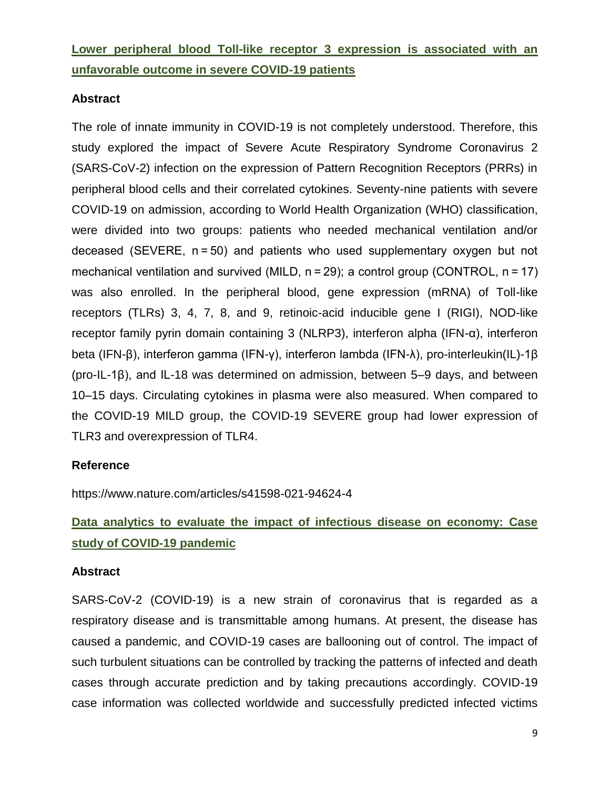**Lower peripheral blood Toll-like receptor 3 expression is associated with an unfavorable outcome in severe COVID-19 patients**

### **Abstract**

The role of innate immunity in COVID-19 is not completely understood. Therefore, this study explored the impact of Severe Acute Respiratory Syndrome Coronavirus 2 (SARS-CoV-2) infection on the expression of Pattern Recognition Receptors (PRRs) in peripheral blood cells and their correlated cytokines. Seventy-nine patients with severe COVID-19 on admission, according to World Health Organization (WHO) classification, were divided into two groups: patients who needed mechanical ventilation and/or deceased (SEVERE, n = 50) and patients who used supplementary oxygen but not mechanical ventilation and survived (MILD, n = 29); a control group (CONTROL, n = 17) was also enrolled. In the peripheral blood, gene expression (mRNA) of Toll-like receptors (TLRs) 3, 4, 7, 8, and 9, retinoic-acid inducible gene I (RIGI), NOD-like receptor family pyrin domain containing 3 (NLRP3), interferon alpha (IFN-α), interferon beta (IFN-β), interferon gamma (IFN-γ), interferon lambda (IFN-λ), pro-interleukin(IL)-1β (pro-IL-1β), and IL-18 was determined on admission, between 5–9 days, and between 10–15 days. Circulating cytokines in plasma were also measured. When compared to the COVID-19 MILD group, the COVID-19 SEVERE group had lower expression of TLR3 and overexpression of TLR4.

#### **Reference**

https://www.nature.com/articles/s41598-021-94624-4

# **Data analytics to evaluate the impact of infectious disease on economy: Case study of COVID-19 pandemic**

#### **Abstract**

SARS-CoV-2 (COVID-19) is a new strain of coronavirus that is regarded as a respiratory disease and is transmittable among humans. At present, the disease has caused a pandemic, and COVID-19 cases are ballooning out of control. The impact of such turbulent situations can be controlled by tracking the patterns of infected and death cases through accurate prediction and by taking precautions accordingly. COVID-19 case information was collected worldwide and successfully predicted infected victims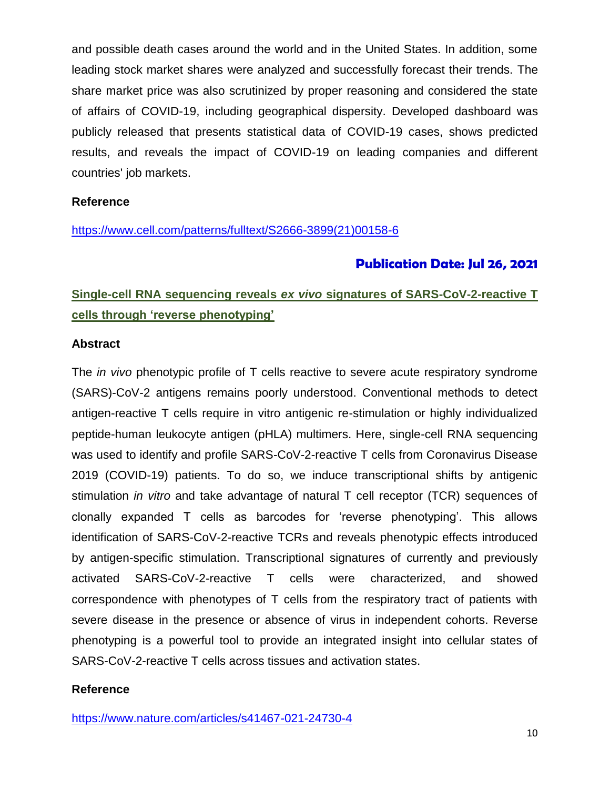and possible death cases around the world and in the United States. In addition, some leading stock market shares were analyzed and successfully forecast their trends. The share market price was also scrutinized by proper reasoning and considered the state of affairs of COVID-19, including geographical dispersity. Developed dashboard was publicly released that presents statistical data of COVID-19 cases, shows predicted results, and reveals the impact of COVID-19 on leading companies and different countries' job markets.

#### **Reference**

[https://www.cell.com/patterns/fulltext/S2666-3899\(21\)00158-6](https://www.cell.com/patterns/fulltext/S2666-3899(21)00158-6)

### **Publication Date: Jul 26, 2021**

# **Single-cell RNA sequencing reveals** *ex vivo* **signatures of SARS-CoV-2-reactive T cells through 'reverse phenotyping'**

#### **Abstract**

The *in vivo* phenotypic profile of T cells reactive to severe acute respiratory syndrome (SARS)-CoV-2 antigens remains poorly understood. Conventional methods to detect antigen-reactive T cells require in vitro antigenic re-stimulation or highly individualized peptide-human leukocyte antigen (pHLA) multimers. Here, single-cell RNA sequencing was used to identify and profile SARS-CoV-2-reactive T cells from Coronavirus Disease 2019 (COVID-19) patients. To do so, we induce transcriptional shifts by antigenic stimulation *in vitro* and take advantage of natural T cell receptor (TCR) sequences of clonally expanded T cells as barcodes for 'reverse phenotyping'. This allows identification of SARS-CoV-2-reactive TCRs and reveals phenotypic effects introduced by antigen-specific stimulation. Transcriptional signatures of currently and previously activated SARS-CoV-2-reactive T cells were characterized, and showed correspondence with phenotypes of T cells from the respiratory tract of patients with severe disease in the presence or absence of virus in independent cohorts. Reverse phenotyping is a powerful tool to provide an integrated insight into cellular states of SARS-CoV-2-reactive T cells across tissues and activation states.

#### **Reference**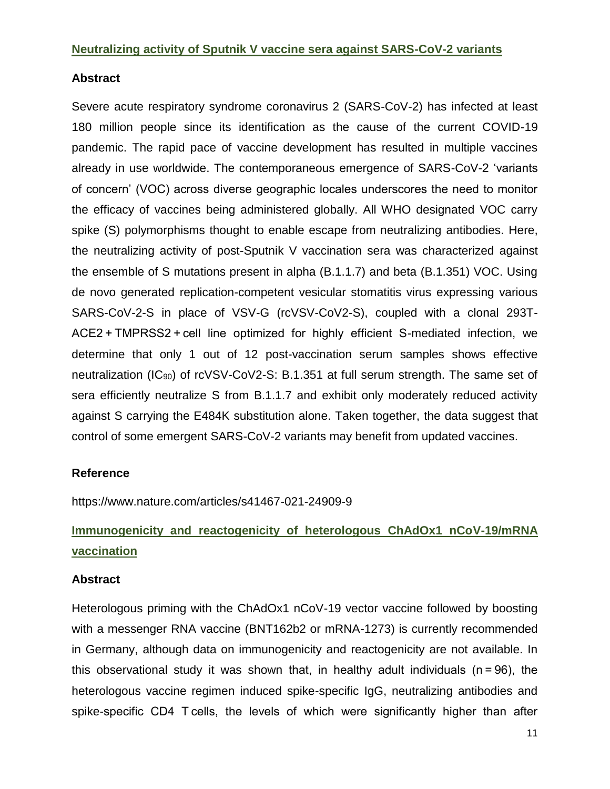#### **Neutralizing activity of Sputnik V vaccine sera against SARS-CoV-2 variants**

#### **Abstract**

Severe acute respiratory syndrome coronavirus 2 (SARS-CoV-2) has infected at least 180 million people since its identification as the cause of the current COVID-19 pandemic. The rapid pace of vaccine development has resulted in multiple vaccines already in use worldwide. The contemporaneous emergence of SARS-CoV-2 'variants of concern' (VOC) across diverse geographic locales underscores the need to monitor the efficacy of vaccines being administered globally. All WHO designated VOC carry spike (S) polymorphisms thought to enable escape from neutralizing antibodies. Here, the neutralizing activity of post-Sputnik V vaccination sera was characterized against the ensemble of S mutations present in alpha (B.1.1.7) and beta (B.1.351) VOC. Using de novo generated replication-competent vesicular stomatitis virus expressing various SARS-CoV-2-S in place of VSV-G (rcVSV-CoV2-S), coupled with a clonal 293T-ACE2 + TMPRSS2 + cell line optimized for highly efficient S-mediated infection, we determine that only 1 out of 12 post-vaccination serum samples shows effective neutralization (IC90) of rcVSV-CoV2-S: B.1.351 at full serum strength. The same set of sera efficiently neutralize S from B.1.1.7 and exhibit only moderately reduced activity against S carrying the E484K substitution alone. Taken together, the data suggest that control of some emergent SARS-CoV-2 variants may benefit from updated vaccines.

#### **Reference**

https://www.nature.com/articles/s41467-021-24909-9

# **Immunogenicity and reactogenicity of heterologous ChAdOx1 nCoV-19/mRNA vaccination**

#### **Abstract**

Heterologous priming with the ChAdOx1 nCoV-19 vector vaccine followed by boosting with a messenger RNA vaccine (BNT162b2 or mRNA-1273) is currently recommended in Germany, although data on immunogenicity and reactogenicity are not available. In this observational study it was shown that, in healthy adult individuals (n = 96), the heterologous vaccine regimen induced spike-specific IgG, neutralizing antibodies and spike-specific CD4 T cells, the levels of which were significantly higher than after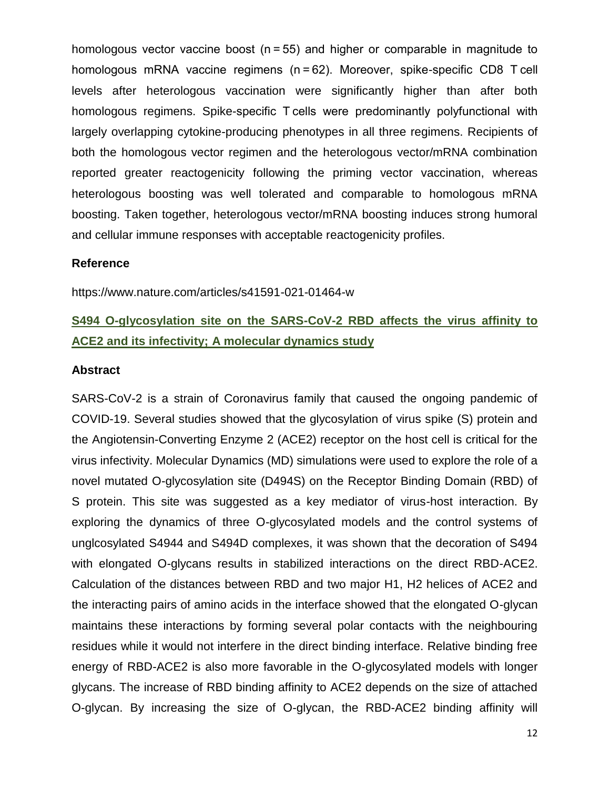homologous vector vaccine boost (n = 55) and higher or comparable in magnitude to homologous mRNA vaccine regimens (n = 62). Moreover, spike-specific CD8 T cell levels after heterologous vaccination were significantly higher than after both homologous regimens. Spike-specific T cells were predominantly polyfunctional with largely overlapping cytokine-producing phenotypes in all three regimens. Recipients of both the homologous vector regimen and the heterologous vector/mRNA combination reported greater reactogenicity following the priming vector vaccination, whereas heterologous boosting was well tolerated and comparable to homologous mRNA boosting. Taken together, heterologous vector/mRNA boosting induces strong humoral and cellular immune responses with acceptable reactogenicity profiles.

#### **Reference**

https://www.nature.com/articles/s41591-021-01464-w

## **S494 O-glycosylation site on the SARS-CoV-2 RBD affects the virus affinity to ACE2 and its infectivity; A molecular dynamics study**

#### **Abstract**

SARS-CoV-2 is a strain of Coronavirus family that caused the ongoing pandemic of COVID-19. Several studies showed that the glycosylation of virus spike (S) protein and the Angiotensin-Converting Enzyme 2 (ACE2) receptor on the host cell is critical for the virus infectivity. Molecular Dynamics (MD) simulations were used to explore the role of a novel mutated O-glycosylation site (D494S) on the Receptor Binding Domain (RBD) of S protein. This site was suggested as a key mediator of virus-host interaction. By exploring the dynamics of three O-glycosylated models and the control systems of unglcosylated S4944 and S494D complexes, it was shown that the decoration of S494 with elongated O-glycans results in stabilized interactions on the direct RBD-ACE2. Calculation of the distances between RBD and two major H1, H2 helices of ACE2 and the interacting pairs of amino acids in the interface showed that the elongated O-glycan maintains these interactions by forming several polar contacts with the neighbouring residues while it would not interfere in the direct binding interface. Relative binding free energy of RBD-ACE2 is also more favorable in the O-glycosylated models with longer glycans. The increase of RBD binding affinity to ACE2 depends on the size of attached O-glycan. By increasing the size of O-glycan, the RBD-ACE2 binding affinity will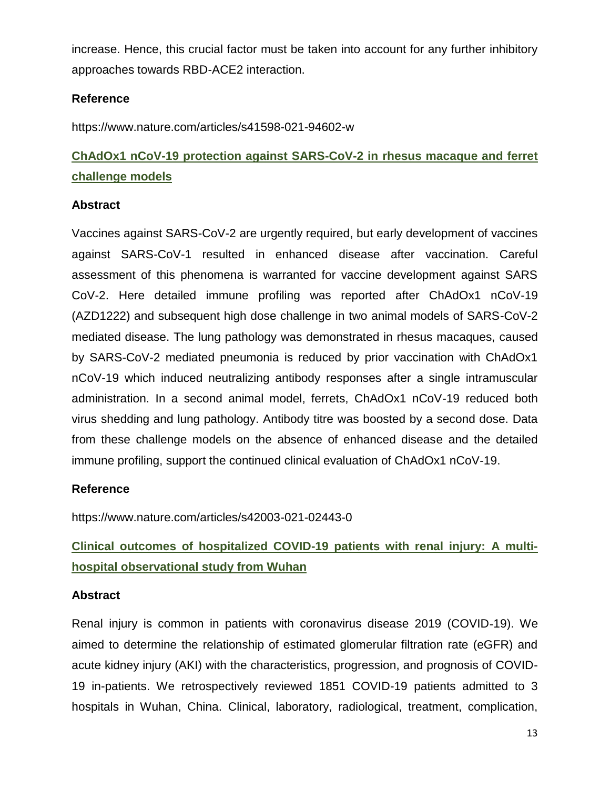increase. Hence, this crucial factor must be taken into account for any further inhibitory approaches towards RBD-ACE2 interaction.

### **Reference**

https://www.nature.com/articles/s41598-021-94602-w

# **ChAdOx1 nCoV-19 protection against SARS-CoV-2 in rhesus macaque and ferret challenge models**

### **Abstract**

Vaccines against SARS-CoV-2 are urgently required, but early development of vaccines against SARS-CoV-1 resulted in enhanced disease after vaccination. Careful assessment of this phenomena is warranted for vaccine development against SARS CoV-2. Here detailed immune profiling was reported after ChAdOx1 nCoV-19 (AZD1222) and subsequent high dose challenge in two animal models of SARS-CoV-2 mediated disease. The lung pathology was demonstrated in rhesus macaques, caused by SARS-CoV-2 mediated pneumonia is reduced by prior vaccination with ChAdOx1 nCoV-19 which induced neutralizing antibody responses after a single intramuscular administration. In a second animal model, ferrets, ChAdOx1 nCoV-19 reduced both virus shedding and lung pathology. Antibody titre was boosted by a second dose. Data from these challenge models on the absence of enhanced disease and the detailed immune profiling, support the continued clinical evaluation of ChAdOx1 nCoV-19.

### **Reference**

https://www.nature.com/articles/s42003-021-02443-0

# **Clinical outcomes of hospitalized COVID-19 patients with renal injury: A multihospital observational study from Wuhan**

### **Abstract**

Renal injury is common in patients with coronavirus disease 2019 (COVID‐19). We aimed to determine the relationship of estimated glomerular filtration rate (eGFR) and acute kidney injury (AKI) with the characteristics, progression, and prognosis of COVID-19 in-patients. We retrospectively reviewed 1851 COVID-19 patients admitted to 3 hospitals in Wuhan, China. Clinical, laboratory, radiological, treatment, complication,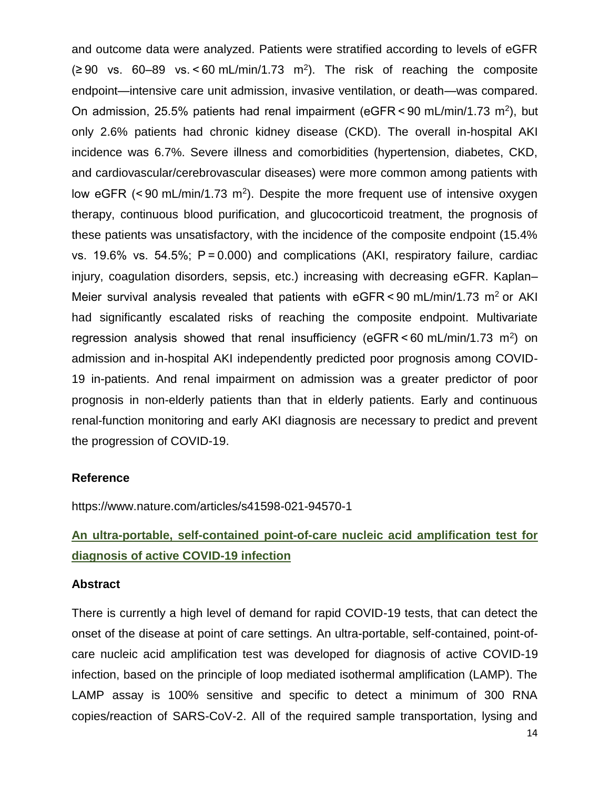and outcome data were analyzed. Patients were stratified according to levels of eGFR  $(290 \text{ vs. } 60-89 \text{ vs. } 60 \text{ mL/min}/1.73 \text{ m}^2)$ . The risk of reaching the composite endpoint—intensive care unit admission, invasive ventilation, or death—was compared. On admission, 25.5% patients had renal impairment (eGFR < 90 mL/min/1.73 m<sup>2</sup>), but only 2.6% patients had chronic kidney disease (CKD). The overall in-hospital AKI incidence was 6.7%. Severe illness and comorbidities (hypertension, diabetes, CKD, and cardiovascular/cerebrovascular diseases) were more common among patients with low eGFR  $(< 90 \text{ mL/min}/1.73 \text{ m}^2)$ . Despite the more frequent use of intensive oxygen therapy, continuous blood purification, and glucocorticoid treatment, the prognosis of these patients was unsatisfactory, with the incidence of the composite endpoint (15.4% vs. 19.6% vs. 54.5%; P = 0.000) and complications (AKI, respiratory failure, cardiac injury, coagulation disorders, sepsis, etc.) increasing with decreasing eGFR. Kaplan– Meier survival analysis revealed that patients with  $e$ GFR < 90 mL/min/1.73 m<sup>2</sup> or AKI had significantly escalated risks of reaching the composite endpoint. Multivariate regression analysis showed that renal insufficiency (eGFR $\leq$ 60 mL/min/1.73 m<sup>2</sup>) on admission and in-hospital AKI independently predicted poor prognosis among COVID-19 in-patients. And renal impairment on admission was a greater predictor of poor prognosis in non-elderly patients than that in elderly patients. Early and continuous renal-function monitoring and early AKI diagnosis are necessary to predict and prevent the progression of COVID-19.

#### **Reference**

https://www.nature.com/articles/s41598-021-94570-1

## **An ultra-portable, self-contained point-of-care nucleic acid amplification test for diagnosis of active COVID-19 infection**

#### **Abstract**

There is currently a high level of demand for rapid COVID-19 tests, that can detect the onset of the disease at point of care settings. An ultra-portable, self-contained, point-ofcare nucleic acid amplification test was developed for diagnosis of active COVID-19 infection, based on the principle of loop mediated isothermal amplification (LAMP). The LAMP assay is 100% sensitive and specific to detect a minimum of 300 RNA copies/reaction of SARS-CoV-2. All of the required sample transportation, lysing and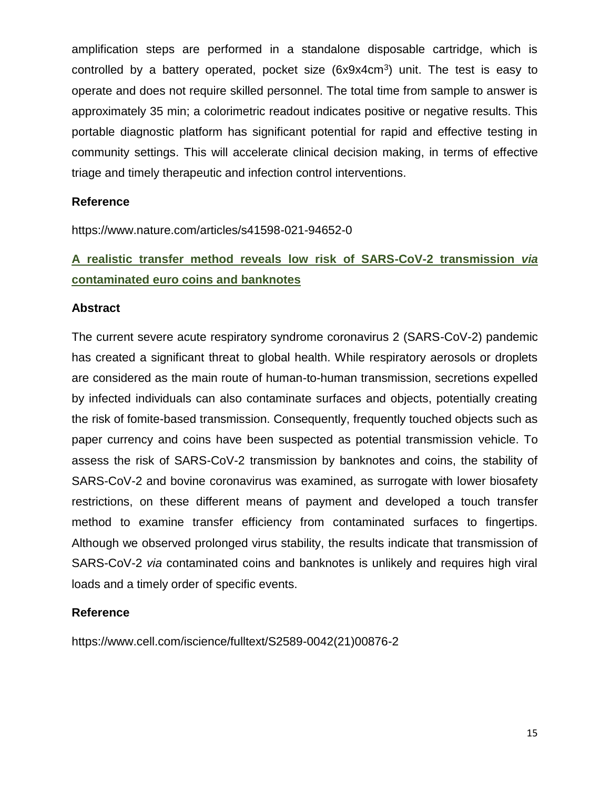amplification steps are performed in a standalone disposable cartridge, which is controlled by a battery operated, pocket size (6x9x4cm<sup>3</sup>) unit. The test is easy to operate and does not require skilled personnel. The total time from sample to answer is approximately 35 min; a colorimetric readout indicates positive or negative results. This portable diagnostic platform has significant potential for rapid and effective testing in community settings. This will accelerate clinical decision making, in terms of effective triage and timely therapeutic and infection control interventions.

#### **Reference**

https://www.nature.com/articles/s41598-021-94652-0

# **A realistic transfer method reveals low risk of SARS-CoV-2 transmission** *via* **contaminated euro coins and banknotes**

#### **Abstract**

The current severe acute respiratory syndrome coronavirus 2 (SARS-CoV-2) pandemic has created a significant threat to global health. While respiratory aerosols or droplets are considered as the main route of human-to-human transmission, secretions expelled by infected individuals can also contaminate surfaces and objects, potentially creating the risk of fomite-based transmission. Consequently, frequently touched objects such as paper currency and coins have been suspected as potential transmission vehicle. To assess the risk of SARS-CoV-2 transmission by banknotes and coins, the stability of SARS-CoV-2 and bovine coronavirus was examined, as surrogate with lower biosafety restrictions, on these different means of payment and developed a touch transfer method to examine transfer efficiency from contaminated surfaces to fingertips. Although we observed prolonged virus stability, the results indicate that transmission of SARS-CoV-2 *via* contaminated coins and banknotes is unlikely and requires high viral loads and a timely order of specific events.

#### **Reference**

https://www.cell.com/iscience/fulltext/S2589-0042(21)00876-2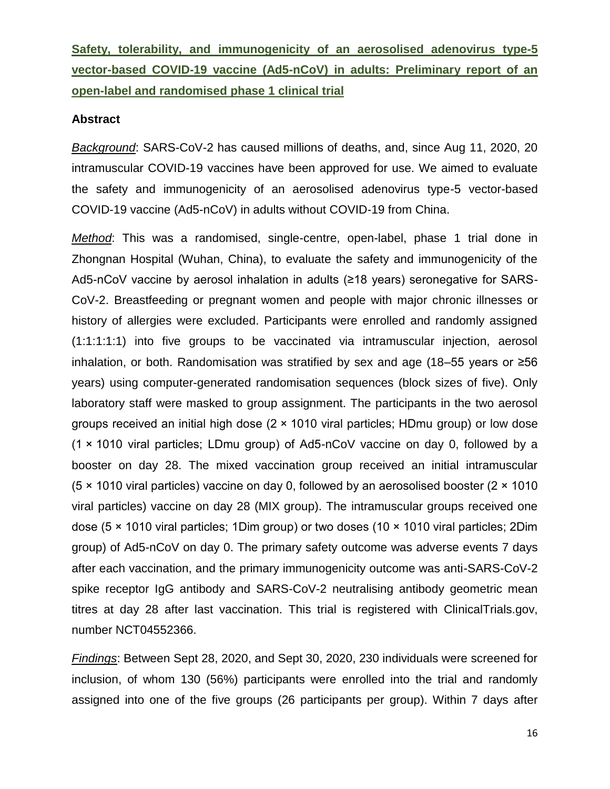**Safety, tolerability, and immunogenicity of an aerosolised adenovirus type-5 vector-based COVID-19 vaccine (Ad5-nCoV) in adults: Preliminary report of an open-label and randomised phase 1 clinical trial**

#### **Abstract**

*Background*: SARS-CoV-2 has caused millions of deaths, and, since Aug 11, 2020, 20 intramuscular COVID-19 vaccines have been approved for use. We aimed to evaluate the safety and immunogenicity of an aerosolised adenovirus type-5 vector-based COVID-19 vaccine (Ad5-nCoV) in adults without COVID-19 from China.

*Method*: This was a randomised, single-centre, open-label, phase 1 trial done in Zhongnan Hospital (Wuhan, China), to evaluate the safety and immunogenicity of the Ad5-nCoV vaccine by aerosol inhalation in adults (≥18 years) seronegative for SARS-CoV-2. Breastfeeding or pregnant women and people with major chronic illnesses or history of allergies were excluded. Participants were enrolled and randomly assigned (1:1:1:1:1) into five groups to be vaccinated via intramuscular injection, aerosol inhalation, or both. Randomisation was stratified by sex and age (18–55 years or ≥56 years) using computer-generated randomisation sequences (block sizes of five). Only laboratory staff were masked to group assignment. The participants in the two aerosol groups received an initial high dose (2 × 1010 viral particles; HDmu group) or low dose (1 × 1010 viral particles; LDmu group) of Ad5-nCoV vaccine on day 0, followed by a booster on day 28. The mixed vaccination group received an initial intramuscular (5 × 1010 viral particles) vaccine on day 0, followed by an aerosolised booster (2 × 1010 viral particles) vaccine on day 28 (MIX group). The intramuscular groups received one dose (5 × 1010 viral particles; 1Dim group) or two doses (10 × 1010 viral particles; 2Dim group) of Ad5-nCoV on day 0. The primary safety outcome was adverse events 7 days after each vaccination, and the primary immunogenicity outcome was anti-SARS-CoV-2 spike receptor IgG antibody and SARS-CoV-2 neutralising antibody geometric mean titres at day 28 after last vaccination. This trial is registered with ClinicalTrials.gov, number NCT04552366.

*Findings*: Between Sept 28, 2020, and Sept 30, 2020, 230 individuals were screened for inclusion, of whom 130 (56%) participants were enrolled into the trial and randomly assigned into one of the five groups (26 participants per group). Within 7 days after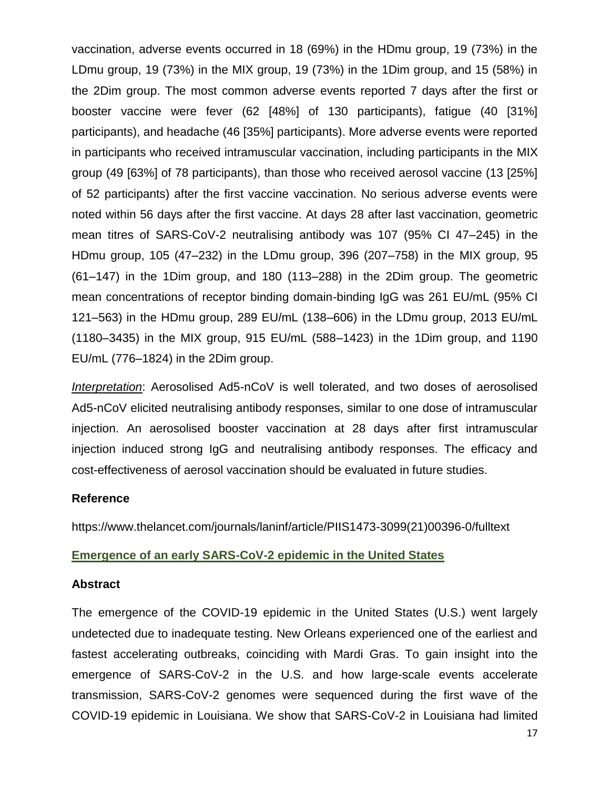vaccination, adverse events occurred in 18 (69%) in the HDmu group, 19 (73%) in the LDmu group, 19 (73%) in the MIX group, 19 (73%) in the 1Dim group, and 15 (58%) in the 2Dim group. The most common adverse events reported 7 days after the first or booster vaccine were fever (62 [48%] of 130 participants), fatigue (40 [31%] participants), and headache (46 [35%] participants). More adverse events were reported in participants who received intramuscular vaccination, including participants in the MIX group (49 [63%] of 78 participants), than those who received aerosol vaccine (13 [25%] of 52 participants) after the first vaccine vaccination. No serious adverse events were noted within 56 days after the first vaccine. At days 28 after last vaccination, geometric mean titres of SARS-CoV-2 neutralising antibody was 107 (95% CI 47–245) in the HDmu group, 105 (47–232) in the LDmu group, 396 (207–758) in the MIX group, 95 (61–147) in the 1Dim group, and 180 (113–288) in the 2Dim group. The geometric mean concentrations of receptor binding domain-binding IgG was 261 EU/mL (95% CI 121–563) in the HDmu group, 289 EU/mL (138–606) in the LDmu group, 2013 EU/mL (1180–3435) in the MIX group, 915 EU/mL (588–1423) in the 1Dim group, and 1190 EU/mL (776–1824) in the 2Dim group.

*Interpretation*: Aerosolised Ad5-nCoV is well tolerated, and two doses of aerosolised Ad5-nCoV elicited neutralising antibody responses, similar to one dose of intramuscular injection. An aerosolised booster vaccination at 28 days after first intramuscular injection induced strong IgG and neutralising antibody responses. The efficacy and cost-effectiveness of aerosol vaccination should be evaluated in future studies.

#### **Reference**

https://www.thelancet.com/journals/laninf/article/PIIS1473-3099(21)00396-0/fulltext

#### **Emergence of an early SARS-CoV-2 epidemic in the United States**

#### **Abstract**

The emergence of the COVID-19 epidemic in the United States (U.S.) went largely undetected due to inadequate testing. New Orleans experienced one of the earliest and fastest accelerating outbreaks, coinciding with Mardi Gras. To gain insight into the emergence of SARS-CoV-2 in the U.S. and how large-scale events accelerate transmission, SARS-CoV-2 genomes were sequenced during the first wave of the COVID-19 epidemic in Louisiana. We show that SARS-CoV-2 in Louisiana had limited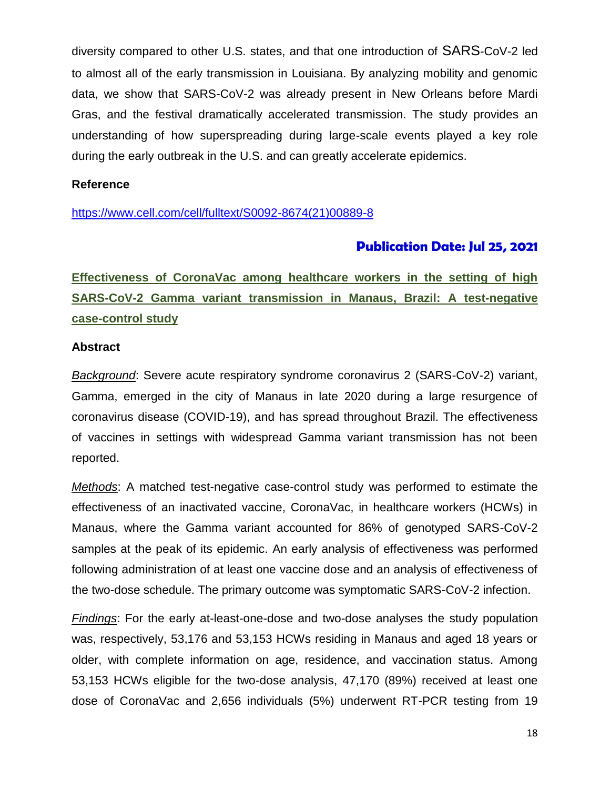diversity compared to other U.S. states, and that one introduction of SARS-CoV-2 led to almost all of the early transmission in Louisiana. By analyzing mobility and genomic data, we show that SARS-CoV-2 was already present in New Orleans before Mardi Gras, and the festival dramatically accelerated transmission. The study provides an understanding of how superspreading during large-scale events played a key role during the early outbreak in the U.S. and can greatly accelerate epidemics.

#### **Reference**

[https://www.cell.com/cell/fulltext/S0092-8674\(21\)00889-8](https://www.cell.com/cell/fulltext/S0092-8674(21)00889-8)

### **Publication Date: Jul 25, 2021**

**Effectiveness of CoronaVac among healthcare workers in the setting of high SARS-CoV-2 Gamma variant transmission in Manaus, Brazil: A test-negative case-control study**

#### **Abstract**

*Background*: Severe acute respiratory syndrome coronavirus 2 (SARS-CoV-2) variant, Gamma, emerged in the city of Manaus in late 2020 during a large resurgence of coronavirus disease (COVID-19), and has spread throughout Brazil. The effectiveness of vaccines in settings with widespread Gamma variant transmission has not been reported.

*Methods*: A matched test-negative case-control study was performed to estimate the effectiveness of an inactivated vaccine, CoronaVac, in healthcare workers (HCWs) in Manaus, where the Gamma variant accounted for 86% of genotyped SARS-CoV-2 samples at the peak of its epidemic. An early analysis of effectiveness was performed following administration of at least one vaccine dose and an analysis of effectiveness of the two-dose schedule. The primary outcome was symptomatic SARS-CoV-2 infection.

*Findings*: For the early at-least-one-dose and two-dose analyses the study population was, respectively, 53,176 and 53,153 HCWs residing in Manaus and aged 18 years or older, with complete information on age, residence, and vaccination status. Among 53,153 HCWs eligible for the two-dose analysis, 47,170 (89%) received at least one dose of CoronaVac and 2,656 individuals (5%) underwent RT-PCR testing from 19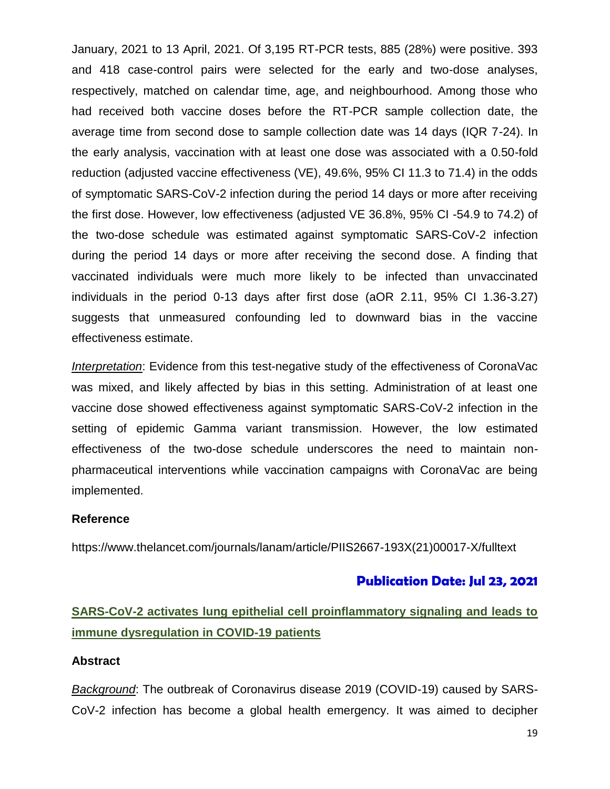January, 2021 to 13 April, 2021. Of 3,195 RT-PCR tests, 885 (28%) were positive. 393 and 418 case-control pairs were selected for the early and two-dose analyses, respectively, matched on calendar time, age, and neighbourhood. Among those who had received both vaccine doses before the RT-PCR sample collection date, the average time from second dose to sample collection date was 14 days (IQR 7-24). In the early analysis, vaccination with at least one dose was associated with a 0.50-fold reduction (adjusted vaccine effectiveness (VE), 49.6%, 95% CI 11.3 to 71.4) in the odds of symptomatic SARS-CoV-2 infection during the period 14 days or more after receiving the first dose. However, low effectiveness (adjusted VE 36.8%, 95% CI -54.9 to 74.2) of the two-dose schedule was estimated against symptomatic SARS-CoV-2 infection during the period 14 days or more after receiving the second dose. A finding that vaccinated individuals were much more likely to be infected than unvaccinated individuals in the period 0-13 days after first dose (aOR 2.11, 95% CI 1.36-3.27) suggests that unmeasured confounding led to downward bias in the vaccine effectiveness estimate.

*Interpretation*: Evidence from this test-negative study of the effectiveness of CoronaVac was mixed, and likely affected by bias in this setting. Administration of at least one vaccine dose showed effectiveness against symptomatic SARS-CoV-2 infection in the setting of epidemic Gamma variant transmission. However, the low estimated effectiveness of the two-dose schedule underscores the need to maintain nonpharmaceutical interventions while vaccination campaigns with CoronaVac are being implemented.

#### **Reference**

https://www.thelancet.com/journals/lanam/article/PIIS2667-193X(21)00017-X/fulltext

#### **Publication Date: Jul 23, 2021**

## **SARS-CoV-2 activates lung epithelial cell proinflammatory signaling and leads to immune dysregulation in COVID-19 patients**

#### **Abstract**

*Background*: The outbreak of Coronavirus disease 2019 (COVID-19) caused by SARS-CoV-2 infection has become a global health emergency. It was aimed to decipher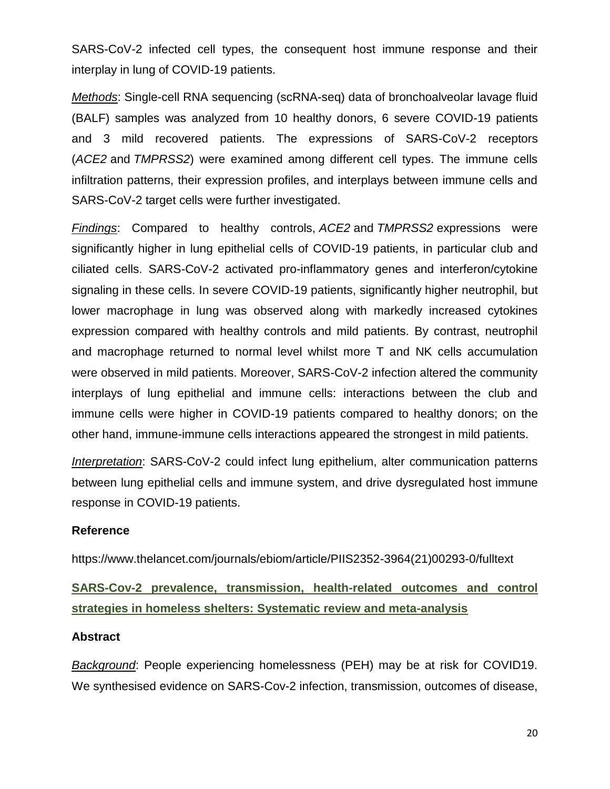SARS-CoV-2 infected cell types, the consequent host immune response and their interplay in lung of COVID-19 patients.

*Methods*: Single-cell RNA sequencing (scRNA-seq) data of bronchoalveolar lavage fluid (BALF) samples was analyzed from 10 healthy donors, 6 severe COVID-19 patients and 3 mild recovered patients. The expressions of SARS-CoV-2 receptors (*ACE2* and *TMPRSS2*) were examined among different cell types. The immune cells infiltration patterns, their expression profiles, and interplays between immune cells and SARS-CoV-2 target cells were further investigated.

*Findings*: Compared to healthy controls, *ACE2* and *TMPRSS2* expressions were significantly higher in lung epithelial cells of COVID-19 patients, in particular club and ciliated cells. SARS-CoV-2 activated pro-inflammatory genes and interferon/cytokine signaling in these cells. In severe COVID-19 patients, significantly higher neutrophil, but lower macrophage in lung was observed along with markedly increased cytokines expression compared with healthy controls and mild patients. By contrast, neutrophil and macrophage returned to normal level whilst more T and NK cells accumulation were observed in mild patients. Moreover, SARS-CoV-2 infection altered the community interplays of lung epithelial and immune cells: interactions between the club and immune cells were higher in COVID-19 patients compared to healthy donors; on the other hand, immune-immune cells interactions appeared the strongest in mild patients.

*Interpretation*: SARS-CoV-2 could infect lung epithelium, alter communication patterns between lung epithelial cells and immune system, and drive dysregulated host immune response in COVID-19 patients.

#### **Reference**

https://www.thelancet.com/journals/ebiom/article/PIIS2352-3964(21)00293-0/fulltext

## **SARS-Cov-2 prevalence, transmission, health-related outcomes and control strategies in homeless shelters: Systematic review and meta-analysis**

#### **Abstract**

*Background*: People experiencing homelessness (PEH) may be at risk for COVID19. We synthesised evidence on SARS-Cov-2 infection, transmission, outcomes of disease,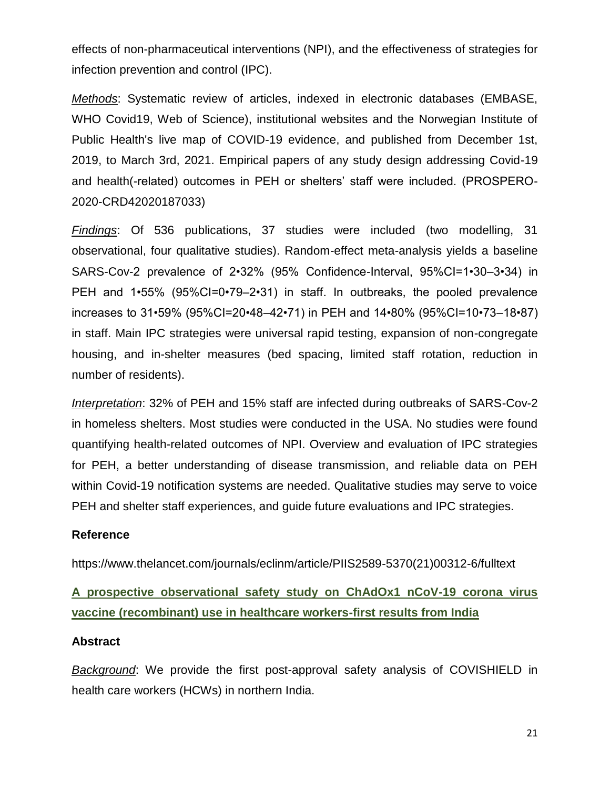effects of non-pharmaceutical interventions (NPI), and the effectiveness of strategies for infection prevention and control (IPC).

*Methods*: Systematic review of articles, indexed in electronic databases (EMBASE, WHO Covid19, Web of Science), institutional websites and the Norwegian Institute of Public Health's live map of COVID-19 evidence, and published from December 1st, 2019, to March 3rd, 2021. Empirical papers of any study design addressing Covid-19 and health(-related) outcomes in PEH or shelters' staff were included. (PROSPERO-2020-CRD42020187033)

*Findings*: Of 536 publications, 37 studies were included (two modelling, 31 observational, four qualitative studies). Random-effect meta-analysis yields a baseline SARS-Cov-2 prevalence of 2•32% (95% Confidence-Interval, 95%CI=1•30–3•34) in PEH and 1•55% (95%CI=0•79–2•31) in staff. In outbreaks, the pooled prevalence increases to 31•59% (95%CI=20•48–42•71) in PEH and 14•80% (95%CI=10•73–18•87) in staff. Main IPC strategies were universal rapid testing, expansion of non-congregate housing, and in-shelter measures (bed spacing, limited staff rotation, reduction in number of residents).

*Interpretation*: 32% of PEH and 15% staff are infected during outbreaks of SARS-Cov-2 in homeless shelters. Most studies were conducted in the USA. No studies were found quantifying health-related outcomes of NPI. Overview and evaluation of IPC strategies for PEH, a better understanding of disease transmission, and reliable data on PEH within Covid-19 notification systems are needed. Qualitative studies may serve to voice PEH and shelter staff experiences, and guide future evaluations and IPC strategies.

#### **Reference**

https://www.thelancet.com/journals/eclinm/article/PIIS2589-5370(21)00312-6/fulltext

**A prospective observational safety study on ChAdOx1 nCoV-19 corona virus vaccine (recombinant) use in healthcare workers-first results from India** 

#### **Abstract**

*Background*: We provide the first post-approval safety analysis of COVISHIELD in health care workers (HCWs) in northern India.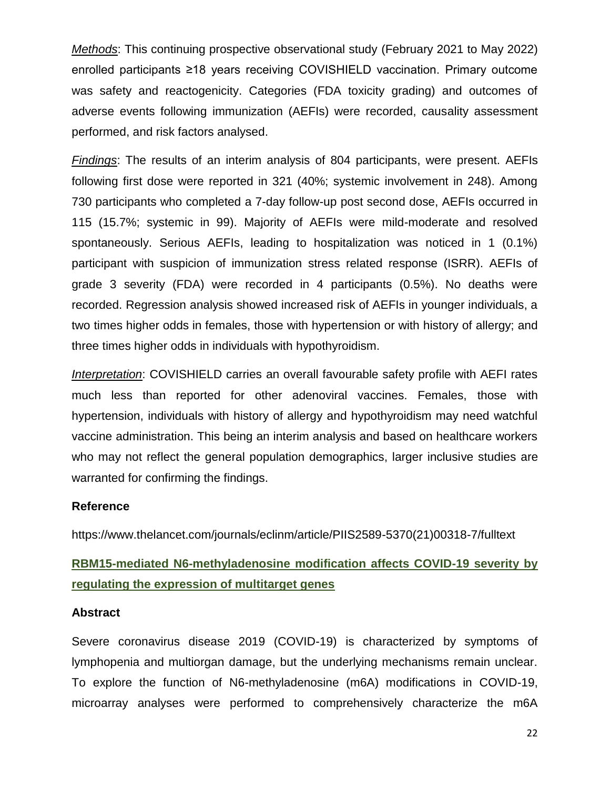*Methods*: This continuing prospective observational study (February 2021 to May 2022) enrolled participants ≥18 years receiving COVISHIELD vaccination. Primary outcome was safety and reactogenicity. Categories (FDA toxicity grading) and outcomes of adverse events following immunization (AEFIs) were recorded, causality assessment performed, and risk factors analysed.

*Findings*: The results of an interim analysis of 804 participants, were present. AEFIs following first dose were reported in 321 (40%; systemic involvement in 248). Among 730 participants who completed a 7-day follow-up post second dose, AEFIs occurred in 115 (15.7%; systemic in 99). Majority of AEFIs were mild-moderate and resolved spontaneously. Serious AEFIs, leading to hospitalization was noticed in 1 (0.1%) participant with suspicion of immunization stress related response (ISRR). AEFIs of grade 3 severity (FDA) were recorded in 4 participants (0.5%). No deaths were recorded. Regression analysis showed increased risk of AEFIs in younger individuals, a two times higher odds in females, those with hypertension or with history of allergy; and three times higher odds in individuals with hypothyroidism.

*Interpretation*: COVISHIELD carries an overall favourable safety profile with AEFI rates much less than reported for other adenoviral vaccines. Females, those with hypertension, individuals with history of allergy and hypothyroidism may need watchful vaccine administration. This being an interim analysis and based on healthcare workers who may not reflect the general population demographics, larger inclusive studies are warranted for confirming the findings.

#### **Reference**

https://www.thelancet.com/journals/eclinm/article/PIIS2589-5370(21)00318-7/fulltext

### **RBM15-mediated N6-methyladenosine modification affects COVID-19 severity by regulating the expression of multitarget genes**

#### **Abstract**

Severe coronavirus disease 2019 (COVID-19) is characterized by symptoms of lymphopenia and multiorgan damage, but the underlying mechanisms remain unclear. To explore the function of N6-methyladenosine (m6A) modifications in COVID-19, microarray analyses were performed to comprehensively characterize the m6A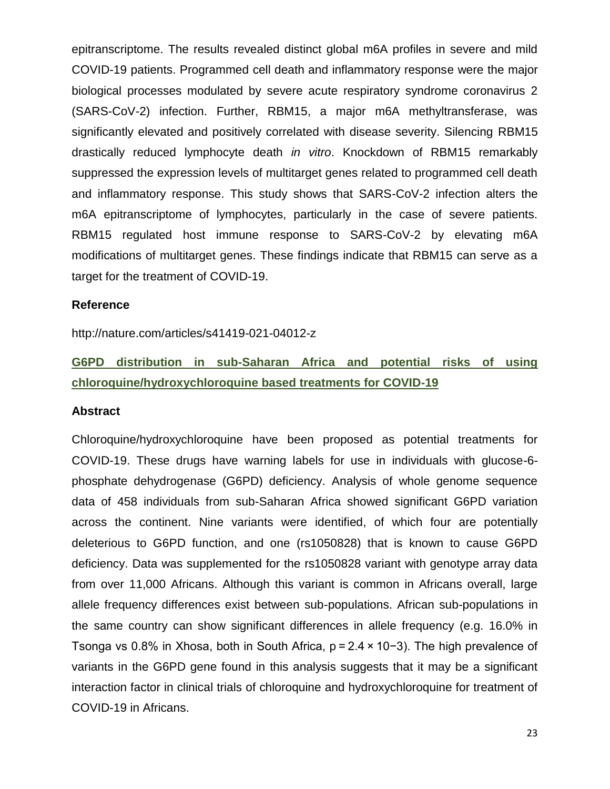epitranscriptome. The results revealed distinct global m6A profiles in severe and mild COVID-19 patients. Programmed cell death and inflammatory response were the major biological processes modulated by severe acute respiratory syndrome coronavirus 2 (SARS-CoV-2) infection. Further, RBM15, a major m6A methyltransferase, was significantly elevated and positively correlated with disease severity. Silencing RBM15 drastically reduced lymphocyte death *in vitro*. Knockdown of RBM15 remarkably suppressed the expression levels of multitarget genes related to programmed cell death and inflammatory response. This study shows that SARS-CoV-2 infection alters the m6A epitranscriptome of lymphocytes, particularly in the case of severe patients. RBM15 regulated host immune response to SARS-CoV-2 by elevating m6A modifications of multitarget genes. These findings indicate that RBM15 can serve as a target for the treatment of COVID-19.

#### **Reference**

http://nature.com/articles/s41419-021-04012-z

# **G6PD distribution in sub-Saharan Africa and potential risks of using chloroquine/hydroxychloroquine based treatments for COVID-19**

#### **Abstract**

Chloroquine/hydroxychloroquine have been proposed as potential treatments for COVID-19. These drugs have warning labels for use in individuals with glucose-6 phosphate dehydrogenase (G6PD) deficiency. Analysis of whole genome sequence data of 458 individuals from sub-Saharan Africa showed significant G6PD variation across the continent. Nine variants were identified, of which four are potentially deleterious to G6PD function, and one (rs1050828) that is known to cause G6PD deficiency. Data was supplemented for the rs1050828 variant with genotype array data from over 11,000 Africans. Although this variant is common in Africans overall, large allele frequency differences exist between sub-populations. African sub-populations in the same country can show significant differences in allele frequency (e.g. 16.0% in Tsonga vs 0.8% in Xhosa, both in South Africa, p = 2.4 × 10−3). The high prevalence of variants in the G6PD gene found in this analysis suggests that it may be a significant interaction factor in clinical trials of chloroquine and hydroxychloroquine for treatment of COVID-19 in Africans.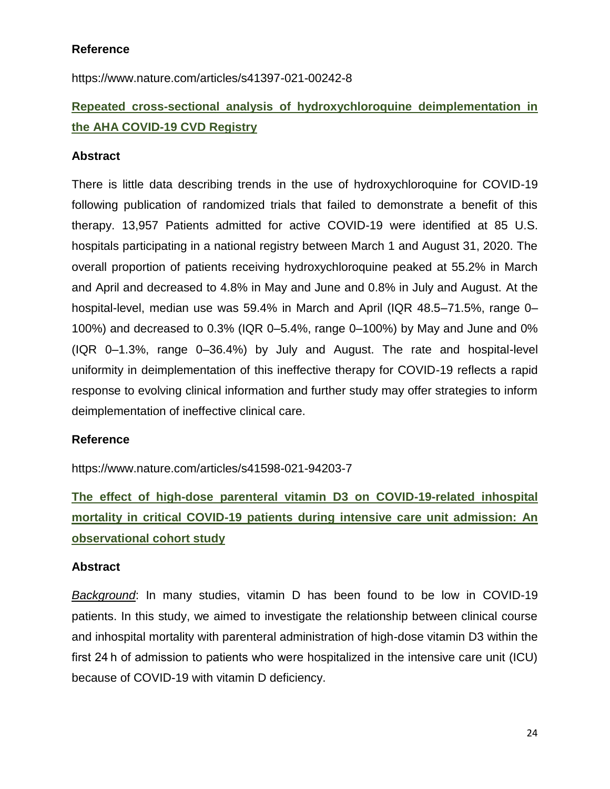### **Reference**

https://www.nature.com/articles/s41397-021-00242-8

# **Repeated cross-sectional analysis of hydroxychloroquine deimplementation in the AHA COVID-19 CVD Registry**

#### **Abstract**

There is little data describing trends in the use of hydroxychloroquine for COVID-19 following publication of randomized trials that failed to demonstrate a benefit of this therapy. 13,957 Patients admitted for active COVID-19 were identified at 85 U.S. hospitals participating in a national registry between March 1 and August 31, 2020. The overall proportion of patients receiving hydroxychloroquine peaked at 55.2% in March and April and decreased to 4.8% in May and June and 0.8% in July and August. At the hospital-level, median use was 59.4% in March and April (IQR 48.5–71.5%, range 0– 100%) and decreased to 0.3% (IQR 0–5.4%, range 0–100%) by May and June and 0% (IQR 0–1.3%, range 0–36.4%) by July and August. The rate and hospital-level uniformity in deimplementation of this ineffective therapy for COVID-19 reflects a rapid response to evolving clinical information and further study may offer strategies to inform deimplementation of ineffective clinical care.

#### **Reference**

https://www.nature.com/articles/s41598-021-94203-7

**The effect of high-dose parenteral vitamin D3 on COVID-19-related inhospital mortality in critical COVID-19 patients during intensive care unit admission: An observational cohort study**

#### **Abstract**

*Background*: In many studies, vitamin D has been found to be low in COVID-19 patients. In this study, we aimed to investigate the relationship between clinical course and inhospital mortality with parenteral administration of high-dose vitamin D3 within the first 24 h of admission to patients who were hospitalized in the intensive care unit (ICU) because of COVID-19 with vitamin D deficiency.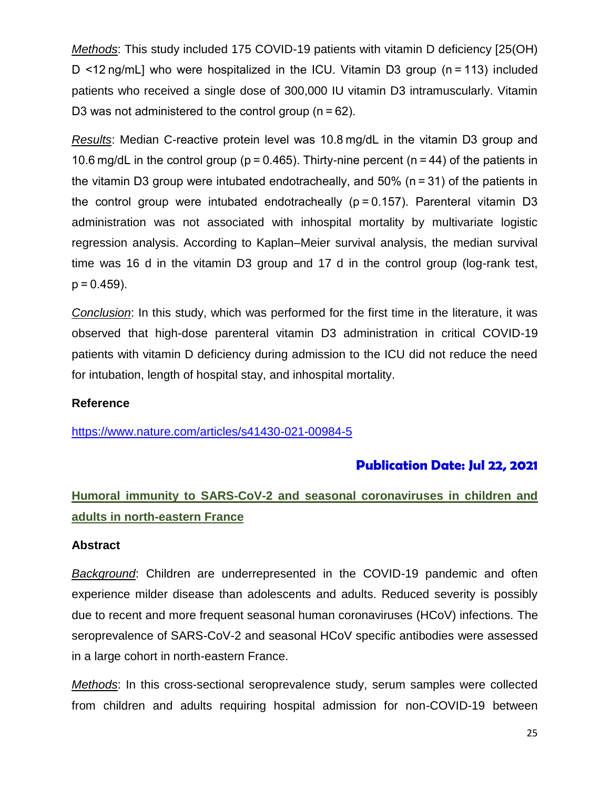*Methods*: This study included 175 COVID-19 patients with vitamin D deficiency [25(OH) D <12 ng/mL] who were hospitalized in the ICU. Vitamin D3 group (n = 113) included patients who received a single dose of 300,000 IU vitamin D3 intramuscularly. Vitamin D3 was not administered to the control group (n = 62).

*Results*: Median C-reactive protein level was 10.8 mg/dL in the vitamin D3 group and 10.6 mg/dL in the control group (p = 0.465). Thirty-nine percent (n = 44) of the patients in the vitamin D3 group were intubated endotracheally, and 50% (n = 31) of the patients in the control group were intubated endotracheally ( $p = 0.157$ ). Parenteral vitamin D3 administration was not associated with inhospital mortality by multivariate logistic regression analysis. According to Kaplan–Meier survival analysis, the median survival time was 16 d in the vitamin D3 group and 17 d in the control group (log-rank test,  $p = 0.459$ ).

*Conclusion*: In this study, which was performed for the first time in the literature, it was observed that high-dose parenteral vitamin D3 administration in critical COVID-19 patients with vitamin D deficiency during admission to the ICU did not reduce the need for intubation, length of hospital stay, and inhospital mortality.

#### **Reference**

<https://www.nature.com/articles/s41430-021-00984-5>

### **Publication Date: Jul 22, 2021**

# **Humoral immunity to SARS-CoV-2 and seasonal coronaviruses in children and adults in north-eastern France**

#### **Abstract**

*Background*: Children are underrepresented in the COVID-19 pandemic and often experience milder disease than adolescents and adults. Reduced severity is possibly due to recent and more frequent seasonal human coronaviruses (HCoV) infections. The seroprevalence of SARS-CoV-2 and seasonal HCoV specific antibodies were assessed in a large cohort in north-eastern France.

*Methods*: In this cross-sectional seroprevalence study, serum samples were collected from children and adults requiring hospital admission for non-COVID-19 between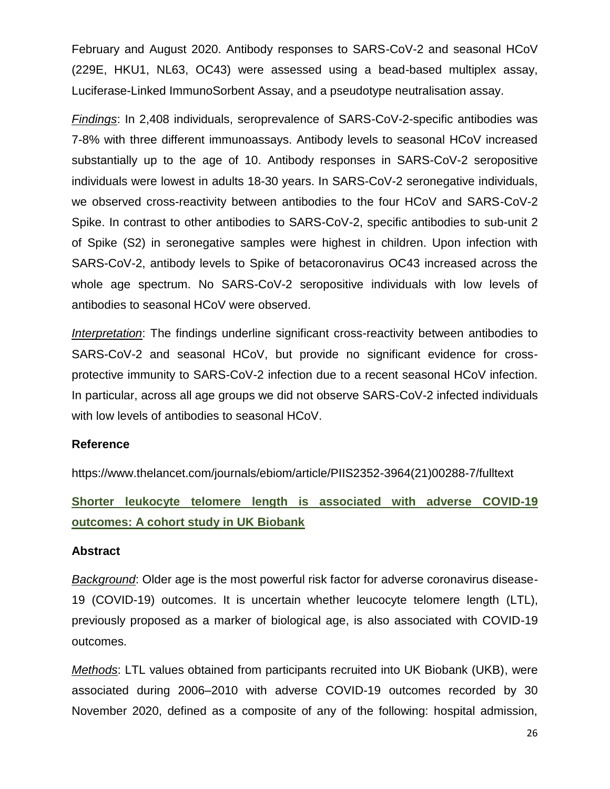February and August 2020. Antibody responses to SARS-CoV-2 and seasonal HCoV (229E, HKU1, NL63, OC43) were assessed using a bead-based multiplex assay, Luciferase-Linked ImmunoSorbent Assay, and a pseudotype neutralisation assay.

*Findings*: In 2,408 individuals, seroprevalence of SARS-CoV-2-specific antibodies was 7-8% with three different immunoassays. Antibody levels to seasonal HCoV increased substantially up to the age of 10. Antibody responses in SARS-CoV-2 seropositive individuals were lowest in adults 18-30 years. In SARS-CoV-2 seronegative individuals, we observed cross-reactivity between antibodies to the four HCoV and SARS-CoV-2 Spike. In contrast to other antibodies to SARS-CoV-2, specific antibodies to sub-unit 2 of Spike (S2) in seronegative samples were highest in children. Upon infection with SARS-CoV-2, antibody levels to Spike of betacoronavirus OC43 increased across the whole age spectrum. No SARS-CoV-2 seropositive individuals with low levels of antibodies to seasonal HCoV were observed.

*Interpretation*: The findings underline significant cross-reactivity between antibodies to SARS-CoV-2 and seasonal HCoV, but provide no significant evidence for crossprotective immunity to SARS-CoV-2 infection due to a recent seasonal HCoV infection. In particular, across all age groups we did not observe SARS-CoV-2 infected individuals with low levels of antibodies to seasonal HCoV.

#### **Reference**

https://www.thelancet.com/journals/ebiom/article/PIIS2352-3964(21)00288-7/fulltext

**Shorter leukocyte telomere length is associated with adverse COVID-19 outcomes: A cohort study in UK Biobank**

#### **Abstract**

*Background*: Older age is the most powerful risk factor for adverse coronavirus disease-19 (COVID-19) outcomes. It is uncertain whether leucocyte telomere length (LTL), previously proposed as a marker of biological age, is also associated with COVID-19 outcomes.

*Methods*: LTL values obtained from participants recruited into UK Biobank (UKB), were associated during 2006–2010 with adverse COVID-19 outcomes recorded by 30 November 2020, defined as a composite of any of the following: hospital admission,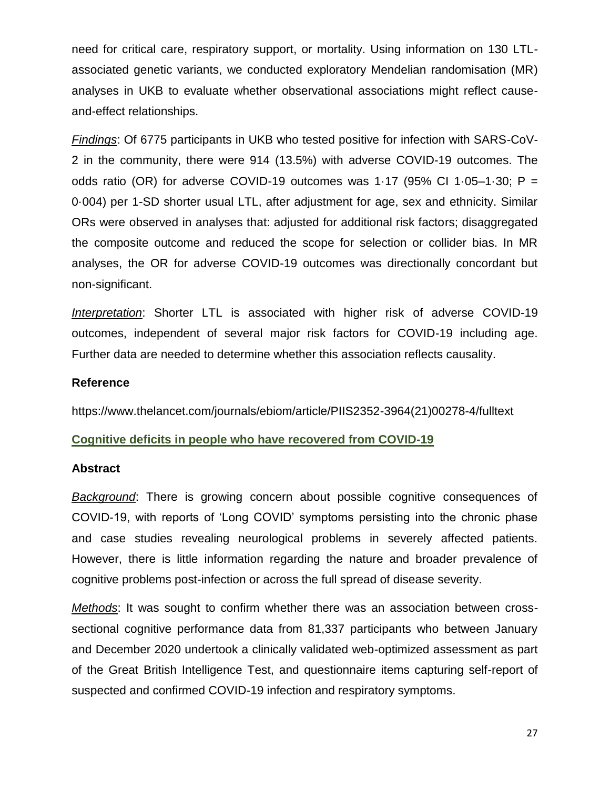need for critical care, respiratory support, or mortality. Using information on 130 LTLassociated genetic variants, we conducted exploratory Mendelian randomisation (MR) analyses in UKB to evaluate whether observational associations might reflect causeand-effect relationships.

*Findings*: Of 6775 participants in UKB who tested positive for infection with SARS-CoV-2 in the community, there were 914 (13.5%) with adverse COVID-19 outcomes. The odds ratio (OR) for adverse COVID-19 outcomes was 1.17 (95% CI 1.05-1.30;  $P =$ 0·004) per 1-SD shorter usual LTL, after adjustment for age, sex and ethnicity. Similar ORs were observed in analyses that: adjusted for additional risk factors; disaggregated the composite outcome and reduced the scope for selection or collider bias. In MR analyses, the OR for adverse COVID-19 outcomes was directionally concordant but non-significant.

*Interpretation*: Shorter LTL is associated with higher risk of adverse COVID-19 outcomes, independent of several major risk factors for COVID-19 including age. Further data are needed to determine whether this association reflects causality.

#### **Reference**

https://www.thelancet.com/journals/ebiom/article/PIIS2352-3964(21)00278-4/fulltext

#### **Cognitive deficits in people who have recovered from COVID-19**

#### **Abstract**

*Background*: There is growing concern about possible cognitive consequences of COVID-19, with reports of 'Long COVID' symptoms persisting into the chronic phase and case studies revealing neurological problems in severely affected patients. However, there is little information regarding the nature and broader prevalence of cognitive problems post-infection or across the full spread of disease severity.

*Methods*: It was sought to confirm whether there was an association between crosssectional cognitive performance data from 81,337 participants who between January and December 2020 undertook a clinically validated web-optimized assessment as part of the Great British Intelligence Test, and questionnaire items capturing self-report of suspected and confirmed COVID-19 infection and respiratory symptoms.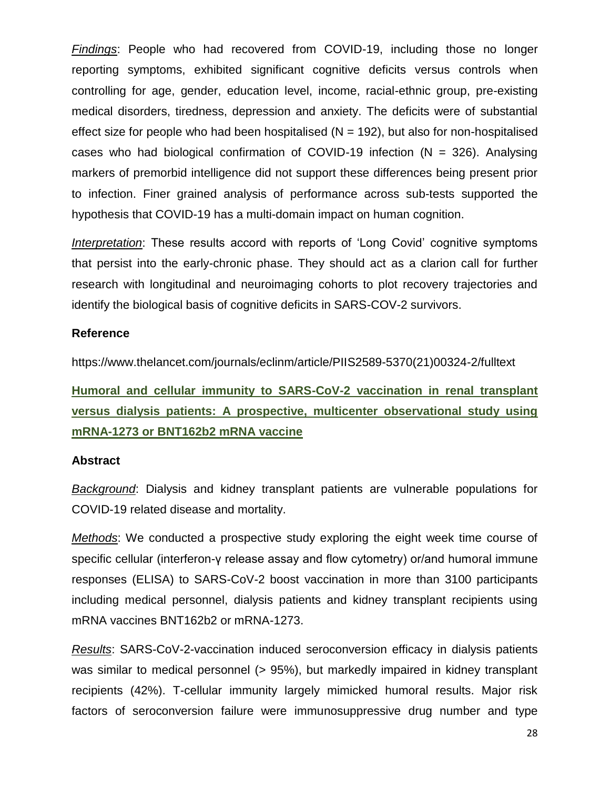*Findings*: People who had recovered from COVID-19, including those no longer reporting symptoms, exhibited significant cognitive deficits versus controls when controlling for age, gender, education level, income, racial-ethnic group, pre-existing medical disorders, tiredness, depression and anxiety. The deficits were of substantial effect size for people who had been hospitalised ( $N = 192$ ), but also for non-hospitalised cases who had biological confirmation of COVID-19 infection ( $N = 326$ ). Analysing markers of premorbid intelligence did not support these differences being present prior to infection. Finer grained analysis of performance across sub-tests supported the hypothesis that COVID-19 has a multi-domain impact on human cognition.

*Interpretation*: These results accord with reports of 'Long Covid' cognitive symptoms that persist into the early-chronic phase. They should act as a clarion call for further research with longitudinal and neuroimaging cohorts to plot recovery trajectories and identify the biological basis of cognitive deficits in SARS-COV-2 survivors.

#### **Reference**

https://www.thelancet.com/journals/eclinm/article/PIIS2589-5370(21)00324-2/fulltext

**Humoral and cellular immunity to SARS-CoV-2 vaccination in renal transplant versus dialysis patients: A prospective, multicenter observational study using mRNA-1273 or BNT162b2 mRNA vaccine**

#### **Abstract**

*Background*: Dialysis and kidney transplant patients are vulnerable populations for COVID-19 related disease and mortality.

*Methods*: We conducted a prospective study exploring the eight week time course of specific cellular (interferon-γ release assay and flow cytometry) or/and humoral immune responses (ELISA) to SARS-CoV-2 boost vaccination in more than 3100 participants including medical personnel, dialysis patients and kidney transplant recipients using mRNA vaccines BNT162b2 or mRNA-1273.

*Results*: SARS-CoV-2-vaccination induced seroconversion efficacy in dialysis patients was similar to medical personnel (> 95%), but markedly impaired in kidney transplant recipients (42%). T-cellular immunity largely mimicked humoral results. Major risk factors of seroconversion failure were immunosuppressive drug number and type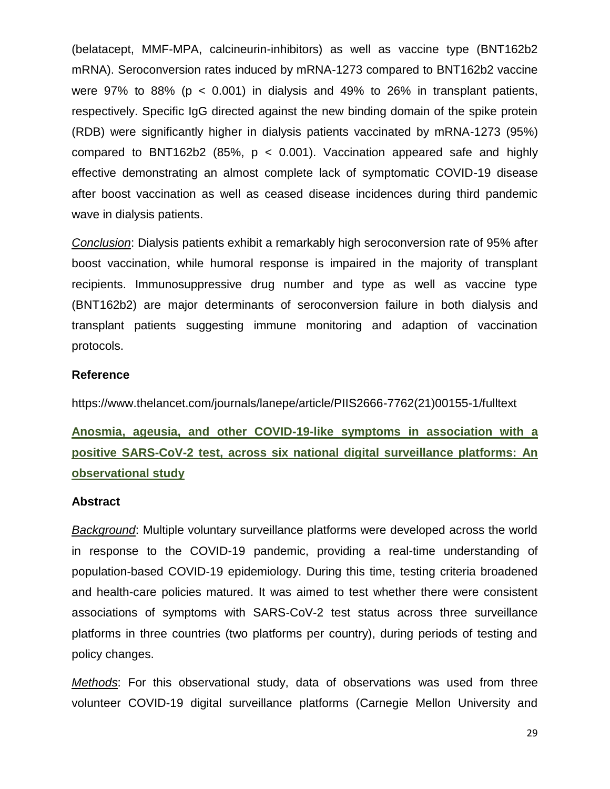(belatacept, MMF-MPA, calcineurin-inhibitors) as well as vaccine type (BNT162b2 mRNA). Seroconversion rates induced by mRNA-1273 compared to BNT162b2 vaccine were 97% to 88% ( $p < 0.001$ ) in dialysis and 49% to 26% in transplant patients, respectively. Specific IgG directed against the new binding domain of the spike protein (RDB) were significantly higher in dialysis patients vaccinated by mRNA-1273 (95%) compared to BNT162b2 (85%,  $p < 0.001$ ). Vaccination appeared safe and highly effective demonstrating an almost complete lack of symptomatic COVID-19 disease after boost vaccination as well as ceased disease incidences during third pandemic wave in dialysis patients.

*Conclusion*: Dialysis patients exhibit a remarkably high seroconversion rate of 95% after boost vaccination, while humoral response is impaired in the majority of transplant recipients. Immunosuppressive drug number and type as well as vaccine type (BNT162b2) are major determinants of seroconversion failure in both dialysis and transplant patients suggesting immune monitoring and adaption of vaccination protocols.

#### **Reference**

https://www.thelancet.com/journals/lanepe/article/PIIS2666-7762(21)00155-1/fulltext

# **Anosmia, ageusia, and other COVID-19-like symptoms in association with a positive SARS-CoV-2 test, across six national digital surveillance platforms: An observational study**

#### **Abstract**

*Background*: Multiple voluntary surveillance platforms were developed across the world in response to the COVID-19 pandemic, providing a real-time understanding of population-based COVID-19 epidemiology. During this time, testing criteria broadened and health-care policies matured. It was aimed to test whether there were consistent associations of symptoms with SARS-CoV-2 test status across three surveillance platforms in three countries (two platforms per country), during periods of testing and policy changes.

*Methods*: For this observational study, data of observations was used from three volunteer COVID-19 digital surveillance platforms (Carnegie Mellon University and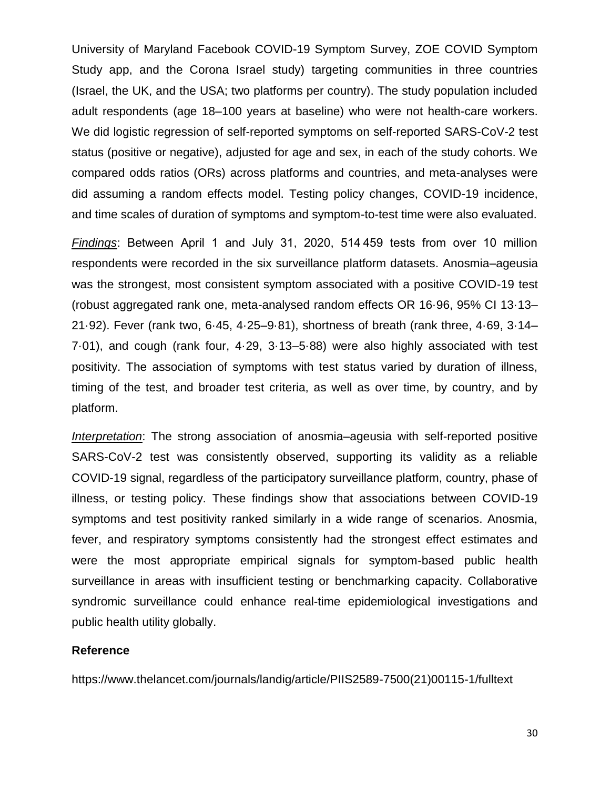University of Maryland Facebook COVID-19 Symptom Survey, ZOE COVID Symptom Study app, and the Corona Israel study) targeting communities in three countries (Israel, the UK, and the USA; two platforms per country). The study population included adult respondents (age 18–100 years at baseline) who were not health-care workers. We did logistic regression of self-reported symptoms on self-reported SARS-CoV-2 test status (positive or negative), adjusted for age and sex, in each of the study cohorts. We compared odds ratios (ORs) across platforms and countries, and meta-analyses were did assuming a random effects model. Testing policy changes, COVID-19 incidence, and time scales of duration of symptoms and symptom-to-test time were also evaluated.

*Findings*: Between April 1 and July 31, 2020, 514 459 tests from over 10 million respondents were recorded in the six surveillance platform datasets. Anosmia–ageusia was the strongest, most consistent symptom associated with a positive COVID-19 test (robust aggregated rank one, meta-analysed random effects OR 16·96, 95% CI 13·13– 21·92). Fever (rank two, 6·45, 4·25–9·81), shortness of breath (rank three, 4·69, 3·14– 7·01), and cough (rank four, 4·29, 3·13–5·88) were also highly associated with test positivity. The association of symptoms with test status varied by duration of illness, timing of the test, and broader test criteria, as well as over time, by country, and by platform.

*Interpretation*: The strong association of anosmia–ageusia with self-reported positive SARS-CoV-2 test was consistently observed, supporting its validity as a reliable COVID-19 signal, regardless of the participatory surveillance platform, country, phase of illness, or testing policy. These findings show that associations between COVID-19 symptoms and test positivity ranked similarly in a wide range of scenarios. Anosmia, fever, and respiratory symptoms consistently had the strongest effect estimates and were the most appropriate empirical signals for symptom-based public health surveillance in areas with insufficient testing or benchmarking capacity. Collaborative syndromic surveillance could enhance real-time epidemiological investigations and public health utility globally.

#### **Reference**

https://www.thelancet.com/journals/landig/article/PIIS2589-7500(21)00115-1/fulltext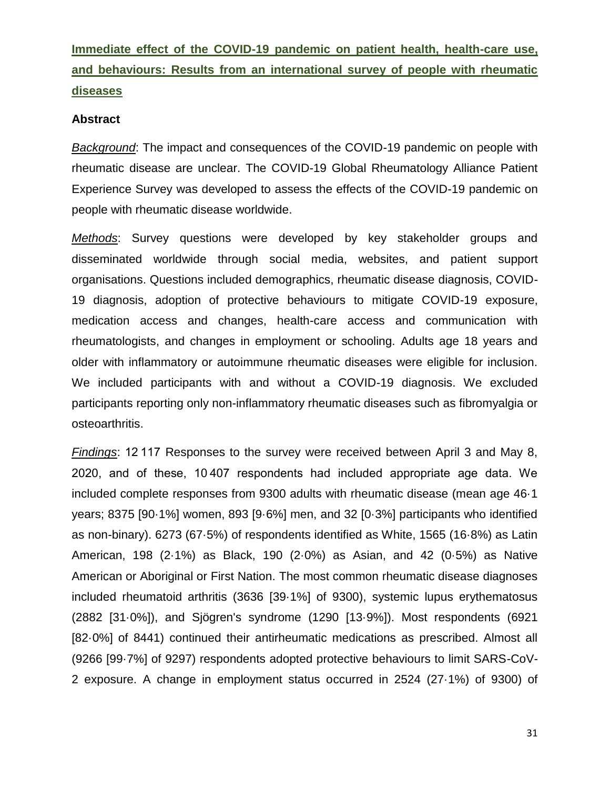# **Immediate effect of the COVID-19 pandemic on patient health, health-care use, and behaviours: Results from an international survey of people with rheumatic diseases**

#### **Abstract**

*Background*: The impact and consequences of the COVID-19 pandemic on people with rheumatic disease are unclear. The COVID-19 Global Rheumatology Alliance Patient Experience Survey was developed to assess the effects of the COVID-19 pandemic on people with rheumatic disease worldwide.

*Methods*: Survey questions were developed by key stakeholder groups and disseminated worldwide through social media, websites, and patient support organisations. Questions included demographics, rheumatic disease diagnosis, COVID-19 diagnosis, adoption of protective behaviours to mitigate COVID-19 exposure, medication access and changes, health-care access and communication with rheumatologists, and changes in employment or schooling. Adults age 18 years and older with inflammatory or autoimmune rheumatic diseases were eligible for inclusion. We included participants with and without a COVID-19 diagnosis. We excluded participants reporting only non-inflammatory rheumatic diseases such as fibromyalgia or osteoarthritis.

*Findings*: 12 117 Responses to the survey were received between April 3 and May 8, 2020, and of these, 10 407 respondents had included appropriate age data. We included complete responses from 9300 adults with rheumatic disease (mean age 46·1 years; 8375 [90·1%] women, 893 [9·6%] men, and 32 [0·3%] participants who identified as non-binary). 6273 (67·5%) of respondents identified as White, 1565 (16·8%) as Latin American, 198 (2·1%) as Black, 190 (2·0%) as Asian, and 42 (0·5%) as Native American or Aboriginal or First Nation. The most common rheumatic disease diagnoses included rheumatoid arthritis (3636 [39·1%] of 9300), systemic lupus erythematosus (2882 [31·0%]), and Sjögren's syndrome (1290 [13·9%]). Most respondents (6921 [82·0%] of 8441) continued their antirheumatic medications as prescribed. Almost all (9266 [99·7%] of 9297) respondents adopted protective behaviours to limit SARS-CoV-2 exposure. A change in employment status occurred in 2524 (27·1%) of 9300) of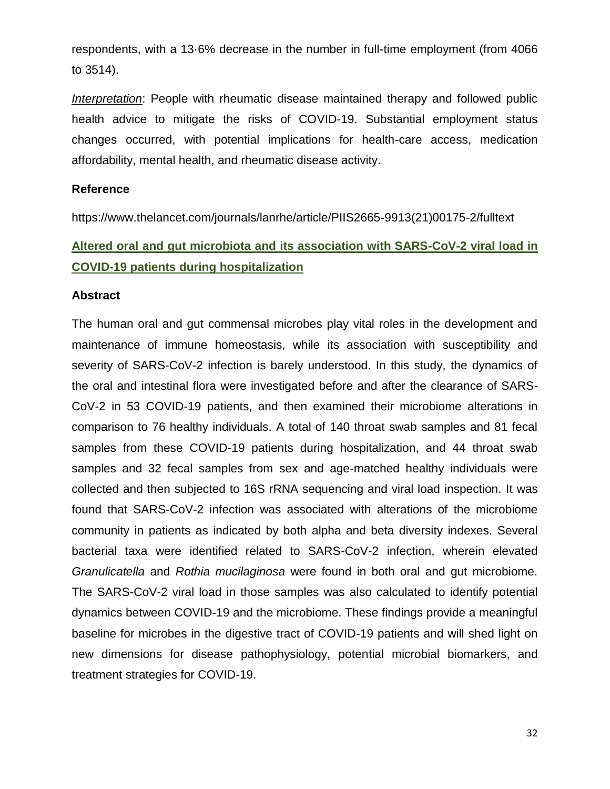respondents, with a 13·6% decrease in the number in full-time employment (from 4066 to 3514).

*Interpretation*: People with rheumatic disease maintained therapy and followed public health advice to mitigate the risks of COVID-19. Substantial employment status changes occurred, with potential implications for health-care access, medication affordability, mental health, and rheumatic disease activity.

#### **Reference**

https://www.thelancet.com/journals/lanrhe/article/PIIS2665-9913(21)00175-2/fulltext

# **Altered oral and gut microbiota and its association with SARS-CoV-2 viral load in COVID-19 patients during hospitalization**

#### **Abstract**

The human oral and gut commensal microbes play vital roles in the development and maintenance of immune homeostasis, while its association with susceptibility and severity of SARS-CoV-2 infection is barely understood. In this study, the dynamics of the oral and intestinal flora were investigated before and after the clearance of SARS-CoV-2 in 53 COVID-19 patients, and then examined their microbiome alterations in comparison to 76 healthy individuals. A total of 140 throat swab samples and 81 fecal samples from these COVID-19 patients during hospitalization, and 44 throat swab samples and 32 fecal samples from sex and age-matched healthy individuals were collected and then subjected to 16S rRNA sequencing and viral load inspection. It was found that SARS-CoV-2 infection was associated with alterations of the microbiome community in patients as indicated by both alpha and beta diversity indexes. Several bacterial taxa were identified related to SARS-CoV-2 infection, wherein elevated *Granulicatella* and *Rothia mucilaginosa* were found in both oral and gut microbiome. The SARS-CoV-2 viral load in those samples was also calculated to identify potential dynamics between COVID-19 and the microbiome. These findings provide a meaningful baseline for microbes in the digestive tract of COVID-19 patients and will shed light on new dimensions for disease pathophysiology, potential microbial biomarkers, and treatment strategies for COVID-19.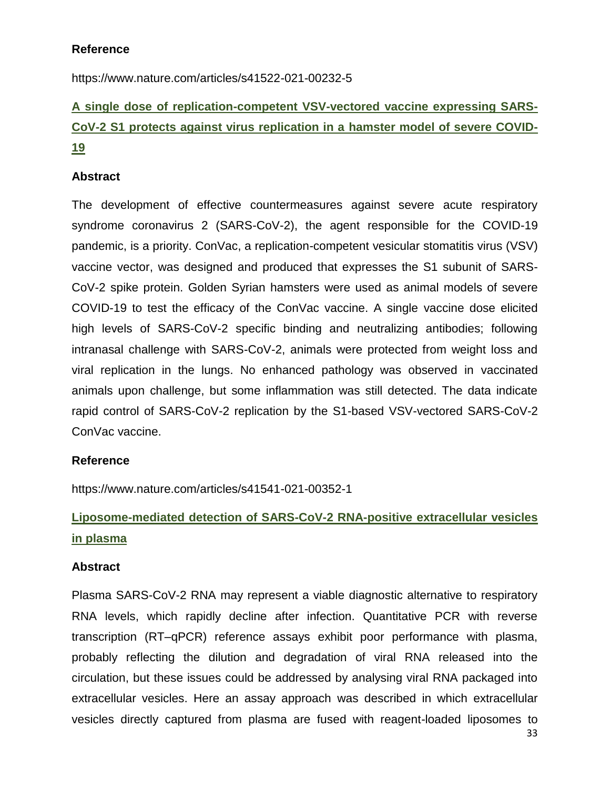### **Reference**

https://www.nature.com/articles/s41522-021-00232-5

# **A single dose of replication-competent VSV-vectored vaccine expressing SARS-CoV-2 S1 protects against virus replication in a hamster model of severe COVID-19**

### **Abstract**

The development of effective countermeasures against severe acute respiratory syndrome coronavirus 2 (SARS-CoV-2), the agent responsible for the COVID-19 pandemic, is a priority. ConVac, a replication-competent vesicular stomatitis virus (VSV) vaccine vector, was designed and produced that expresses the S1 subunit of SARS-CoV-2 spike protein. Golden Syrian hamsters were used as animal models of severe COVID-19 to test the efficacy of the ConVac vaccine. A single vaccine dose elicited high levels of SARS-CoV-2 specific binding and neutralizing antibodies; following intranasal challenge with SARS-CoV-2, animals were protected from weight loss and viral replication in the lungs. No enhanced pathology was observed in vaccinated animals upon challenge, but some inflammation was still detected. The data indicate rapid control of SARS-CoV-2 replication by the S1-based VSV-vectored SARS-CoV-2 ConVac vaccine.

### **Reference**

https://www.nature.com/articles/s41541-021-00352-1

# **Liposome-mediated detection of SARS-CoV-2 RNA-positive extracellular vesicles in plasma**

#### **Abstract**

Plasma SARS-CoV-2 RNA may represent a viable diagnostic alternative to respiratory RNA levels, which rapidly decline after infection. Quantitative PCR with reverse transcription (RT–qPCR) reference assays exhibit poor performance with plasma, probably reflecting the dilution and degradation of viral RNA released into the circulation, but these issues could be addressed by analysing viral RNA packaged into extracellular vesicles. Here an assay approach was described in which extracellular vesicles directly captured from plasma are fused with reagent-loaded liposomes to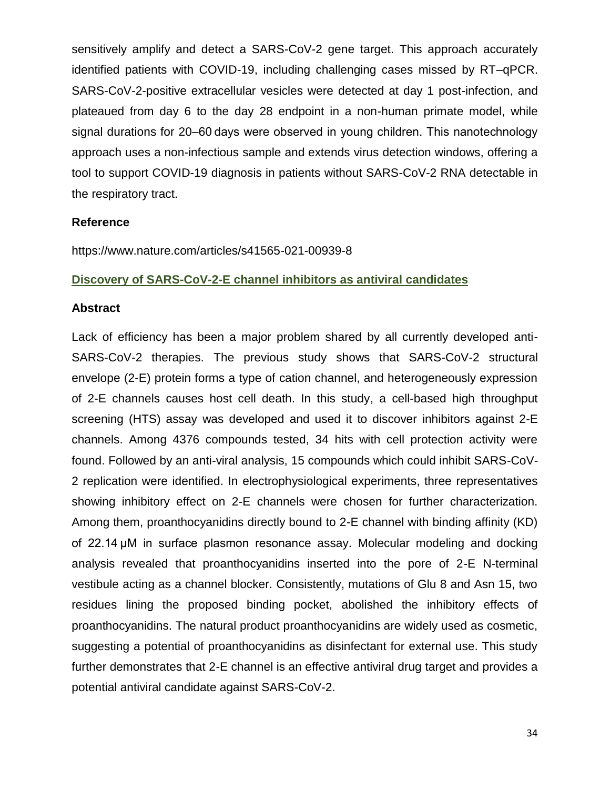sensitively amplify and detect a SARS-CoV-2 gene target. This approach accurately identified patients with COVID-19, including challenging cases missed by RT–qPCR. SARS-CoV-2-positive extracellular vesicles were detected at day 1 post-infection, and plateaued from day 6 to the day 28 endpoint in a non-human primate model, while signal durations for 20–60 days were observed in young children. This nanotechnology approach uses a non-infectious sample and extends virus detection windows, offering a tool to support COVID-19 diagnosis in patients without SARS-CoV-2 RNA detectable in the respiratory tract.

#### **Reference**

https://www.nature.com/articles/s41565-021-00939-8

#### **Discovery of SARS-CoV-2-E channel inhibitors as antiviral candidates**

#### **Abstract**

Lack of efficiency has been a major problem shared by all currently developed anti-SARS-CoV-2 therapies. The previous study shows that SARS-CoV-2 structural envelope (2-E) protein forms a type of cation channel, and heterogeneously expression of 2-E channels causes host cell death. In this study, a cell-based high throughput screening (HTS) assay was developed and used it to discover inhibitors against 2-E channels. Among 4376 compounds tested, 34 hits with cell protection activity were found. Followed by an anti-viral analysis, 15 compounds which could inhibit SARS-CoV-2 replication were identified. In electrophysiological experiments, three representatives showing inhibitory effect on 2-E channels were chosen for further characterization. Among them, proanthocyanidins directly bound to 2-E channel with binding affinity (KD) of 22.14 μM in surface plasmon resonance assay. Molecular modeling and docking analysis revealed that proanthocyanidins inserted into the pore of 2-E N-terminal vestibule acting as a channel blocker. Consistently, mutations of Glu 8 and Asn 15, two residues lining the proposed binding pocket, abolished the inhibitory effects of proanthocyanidins. The natural product proanthocyanidins are widely used as cosmetic, suggesting a potential of proanthocyanidins as disinfectant for external use. This study further demonstrates that 2-E channel is an effective antiviral drug target and provides a potential antiviral candidate against SARS-CoV-2.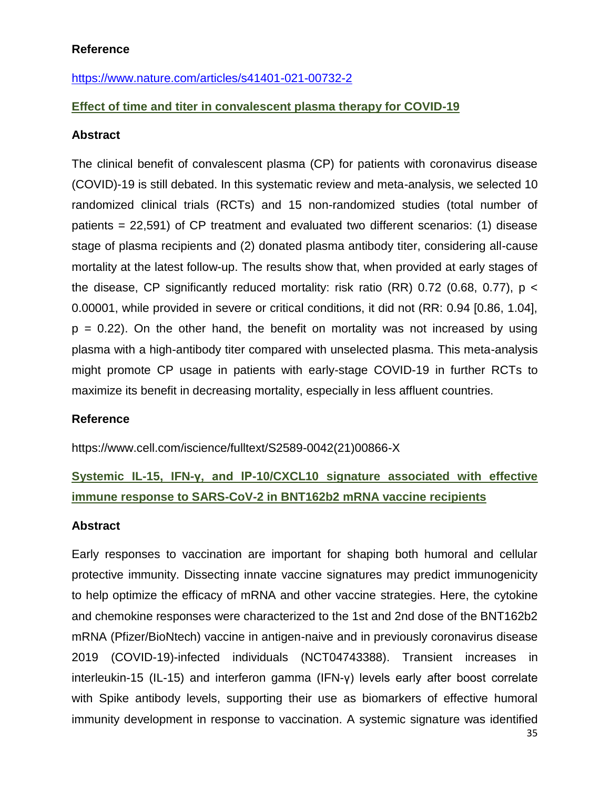### **Reference**

<https://www.nature.com/articles/s41401-021-00732-2>

### **Effect of time and titer in convalescent plasma therapy for COVID-19**

#### **Abstract**

The clinical benefit of convalescent plasma (CP) for patients with coronavirus disease (COVID)-19 is still debated. In this systematic review and meta-analysis, we selected 10 randomized clinical trials (RCTs) and 15 non-randomized studies (total number of patients = 22,591) of CP treatment and evaluated two different scenarios: (1) disease stage of plasma recipients and (2) donated plasma antibody titer, considering all-cause mortality at the latest follow-up. The results show that, when provided at early stages of the disease, CP significantly reduced mortality: risk ratio (RR) 0.72 (0.68, 0.77),  $p \lt$ 0.00001, while provided in severe or critical conditions, it did not (RR: 0.94 [0.86, 1.04],  $p = 0.22$ ). On the other hand, the benefit on mortality was not increased by using plasma with a high-antibody titer compared with unselected plasma. This meta-analysis might promote CP usage in patients with early-stage COVID-19 in further RCTs to maximize its benefit in decreasing mortality, especially in less affluent countries.

#### **Reference**

https://www.cell.com/iscience/fulltext/S2589-0042(21)00866-X

# **Systemic IL-15, IFN-γ, and IP-10/CXCL10 signature associated with effective immune response to SARS-CoV-2 in BNT162b2 mRNA vaccine recipients**

#### **Abstract**

Early responses to vaccination are important for shaping both humoral and cellular protective immunity. Dissecting innate vaccine signatures may predict immunogenicity to help optimize the efficacy of mRNA and other vaccine strategies. Here, the cytokine and chemokine responses were characterized to the 1st and 2nd dose of the BNT162b2 mRNA (Pfizer/BioNtech) vaccine in antigen-naive and in previously coronavirus disease 2019 (COVID-19)-infected individuals (NCT04743388). Transient increases in interleukin-15 (IL-15) and interferon gamma (IFN-γ) levels early after boost correlate with Spike antibody levels, supporting their use as biomarkers of effective humoral immunity development in response to vaccination. A systemic signature was identified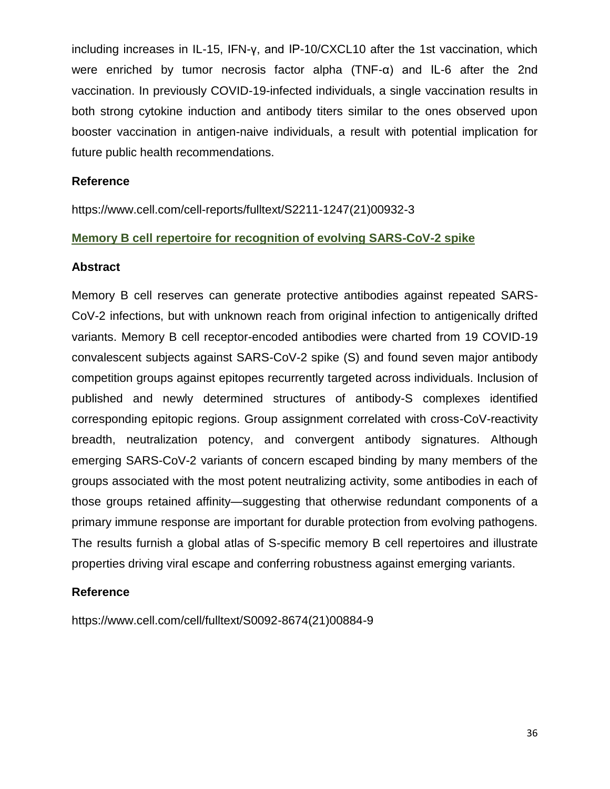including increases in IL-15, IFN-γ, and IP-10/CXCL10 after the 1st vaccination, which were enriched by tumor necrosis factor alpha (TNF-α) and IL-6 after the 2nd vaccination. In previously COVID-19-infected individuals, a single vaccination results in both strong cytokine induction and antibody titers similar to the ones observed upon booster vaccination in antigen-naive individuals, a result with potential implication for future public health recommendations.

#### **Reference**

https://www.cell.com/cell-reports/fulltext/S2211-1247(21)00932-3

#### **Memory B cell repertoire for recognition of evolving SARS-CoV-2 spike**

#### **Abstract**

Memory B cell reserves can generate protective antibodies against repeated SARS-CoV-2 infections, but with unknown reach from original infection to antigenically drifted variants. Memory B cell receptor-encoded antibodies were charted from 19 COVID-19 convalescent subjects against SARS-CoV-2 spike (S) and found seven major antibody competition groups against epitopes recurrently targeted across individuals. Inclusion of published and newly determined structures of antibody-S complexes identified corresponding epitopic regions. Group assignment correlated with cross-CoV-reactivity breadth, neutralization potency, and convergent antibody signatures. Although emerging SARS-CoV-2 variants of concern escaped binding by many members of the groups associated with the most potent neutralizing activity, some antibodies in each of those groups retained affinity—suggesting that otherwise redundant components of a primary immune response are important for durable protection from evolving pathogens. The results furnish a global atlas of S-specific memory B cell repertoires and illustrate properties driving viral escape and conferring robustness against emerging variants.

#### **Reference**

https://www.cell.com/cell/fulltext/S0092-8674(21)00884-9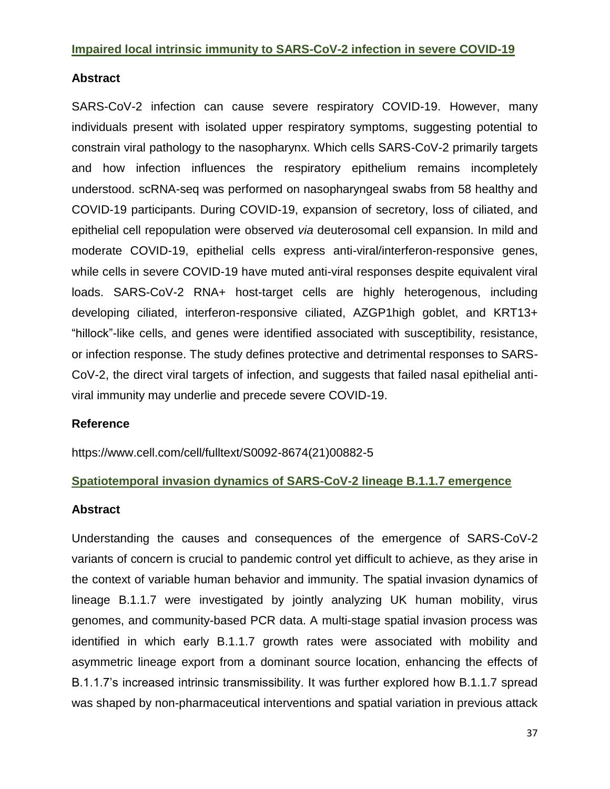#### **Impaired local intrinsic immunity to SARS-CoV-2 infection in severe COVID-19**

### **Abstract**

SARS-CoV-2 infection can cause severe respiratory COVID-19. However, many individuals present with isolated upper respiratory symptoms, suggesting potential to constrain viral pathology to the nasopharynx. Which cells SARS-CoV-2 primarily targets and how infection influences the respiratory epithelium remains incompletely understood. scRNA-seq was performed on nasopharyngeal swabs from 58 healthy and COVID-19 participants. During COVID-19, expansion of secretory, loss of ciliated, and epithelial cell repopulation were observed *via* deuterosomal cell expansion. In mild and moderate COVID-19, epithelial cells express anti-viral/interferon-responsive genes, while cells in severe COVID-19 have muted anti-viral responses despite equivalent viral loads. SARS-CoV-2 RNA+ host-target cells are highly heterogenous, including developing ciliated, interferon-responsive ciliated, AZGP1high goblet, and KRT13+ "hillock"-like cells, and genes were identified associated with susceptibility, resistance, or infection response. The study defines protective and detrimental responses to SARS-CoV-2, the direct viral targets of infection, and suggests that failed nasal epithelial antiviral immunity may underlie and precede severe COVID-19.

#### **Reference**

https://www.cell.com/cell/fulltext/S0092-8674(21)00882-5

#### **Spatiotemporal invasion dynamics of SARS-CoV-2 lineage B.1.1.7 emergence**

#### **Abstract**

Understanding the causes and consequences of the emergence of SARS-CoV-2 variants of concern is crucial to pandemic control yet difficult to achieve, as they arise in the context of variable human behavior and immunity. The spatial invasion dynamics of lineage B.1.1.7 were investigated by jointly analyzing UK human mobility, virus genomes, and community-based PCR data. A multi-stage spatial invasion process was identified in which early B.1.1.7 growth rates were associated with mobility and asymmetric lineage export from a dominant source location, enhancing the effects of B.1.1.7's increased intrinsic transmissibility. It was further explored how B.1.1.7 spread was shaped by non-pharmaceutical interventions and spatial variation in previous attack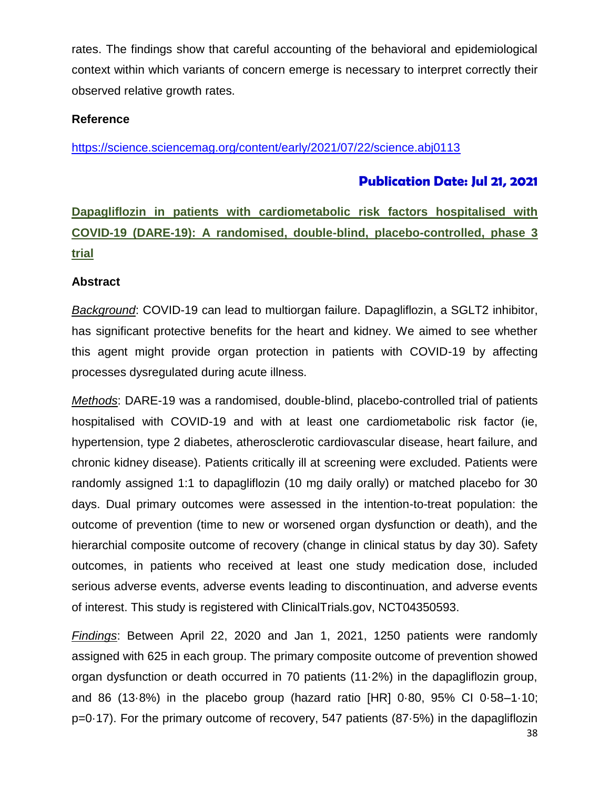rates. The findings show that careful accounting of the behavioral and epidemiological context within which variants of concern emerge is necessary to interpret correctly their observed relative growth rates.

### **Reference**

<https://science.sciencemag.org/content/early/2021/07/22/science.abj0113>

### **Publication Date: Jul 21, 2021**

**Dapagliflozin in patients with cardiometabolic risk factors hospitalised with COVID-19 (DARE-19): A randomised, double-blind, placebo-controlled, phase 3 trial**

#### **Abstract**

*Background*: COVID-19 can lead to multiorgan failure. Dapagliflozin, a SGLT2 inhibitor, has significant protective benefits for the heart and kidney. We aimed to see whether this agent might provide organ protection in patients with COVID-19 by affecting processes dysregulated during acute illness.

*Methods*: DARE-19 was a randomised, double-blind, placebo-controlled trial of patients hospitalised with COVID-19 and with at least one cardiometabolic risk factor (ie, hypertension, type 2 diabetes, atherosclerotic cardiovascular disease, heart failure, and chronic kidney disease). Patients critically ill at screening were excluded. Patients were randomly assigned 1:1 to dapagliflozin (10 mg daily orally) or matched placebo for 30 days. Dual primary outcomes were assessed in the intention-to-treat population: the outcome of prevention (time to new or worsened organ dysfunction or death), and the hierarchial composite outcome of recovery (change in clinical status by day 30). Safety outcomes, in patients who received at least one study medication dose, included serious adverse events, adverse events leading to discontinuation, and adverse events of interest. This study is registered with ClinicalTrials.gov, NCT04350593.

*Findings*: Between April 22, 2020 and Jan 1, 2021, 1250 patients were randomly assigned with 625 in each group. The primary composite outcome of prevention showed organ dysfunction or death occurred in 70 patients (11·2%) in the dapagliflozin group, and 86 (13·8%) in the placebo group (hazard ratio [HR] 0·80, 95% CI 0·58–1·10; p=0·17). For the primary outcome of recovery, 547 patients (87·5%) in the dapagliflozin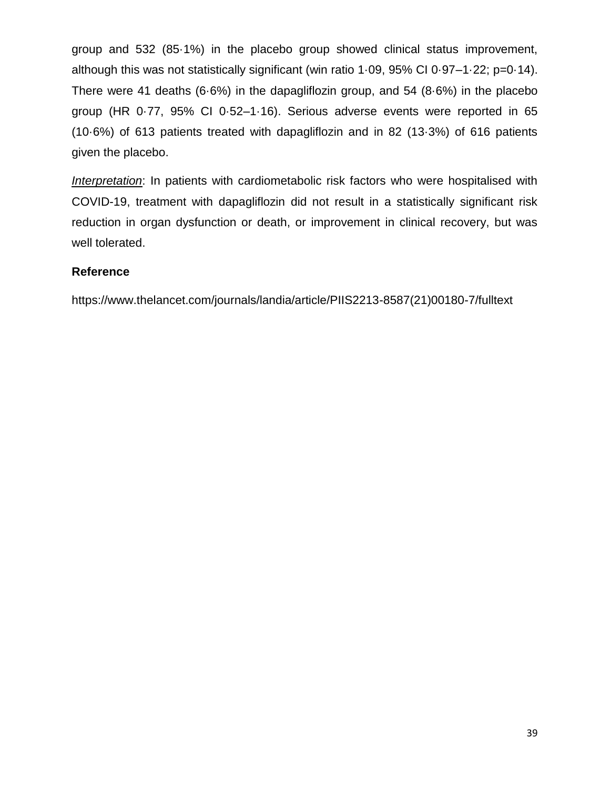group and 532 (85·1%) in the placebo group showed clinical status improvement, although this was not statistically significant (win ratio 1·09, 95% CI 0·97–1·22; p=0·14). There were 41 deaths (6·6%) in the dapagliflozin group, and 54 (8·6%) in the placebo group (HR 0·77, 95% CI 0·52–1·16). Serious adverse events were reported in 65 (10·6%) of 613 patients treated with dapagliflozin and in 82 (13·3%) of 616 patients given the placebo.

*Interpretation*: In patients with cardiometabolic risk factors who were hospitalised with COVID-19, treatment with dapagliflozin did not result in a statistically significant risk reduction in organ dysfunction or death, or improvement in clinical recovery, but was well tolerated.

### **Reference**

https://www.thelancet.com/journals/landia/article/PIIS2213-8587(21)00180-7/fulltext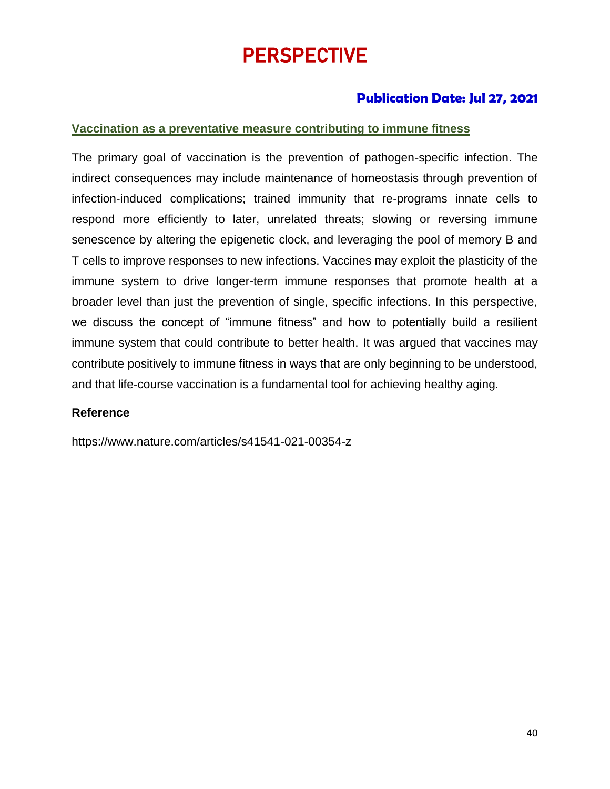# PERSPECTIVE

### **Publication Date: Jul 27, 2021**

### **Vaccination as a preventative measure contributing to immune fitness**

The primary goal of vaccination is the prevention of pathogen-specific infection. The indirect consequences may include maintenance of homeostasis through prevention of infection-induced complications; trained immunity that re-programs innate cells to respond more efficiently to later, unrelated threats; slowing or reversing immune senescence by altering the epigenetic clock, and leveraging the pool of memory B and T cells to improve responses to new infections. Vaccines may exploit the plasticity of the immune system to drive longer-term immune responses that promote health at a broader level than just the prevention of single, specific infections. In this perspective, we discuss the concept of "immune fitness" and how to potentially build a resilient immune system that could contribute to better health. It was argued that vaccines may contribute positively to immune fitness in ways that are only beginning to be understood, and that life-course vaccination is a fundamental tool for achieving healthy aging.

#### **Reference**

https://www.nature.com/articles/s41541-021-00354-z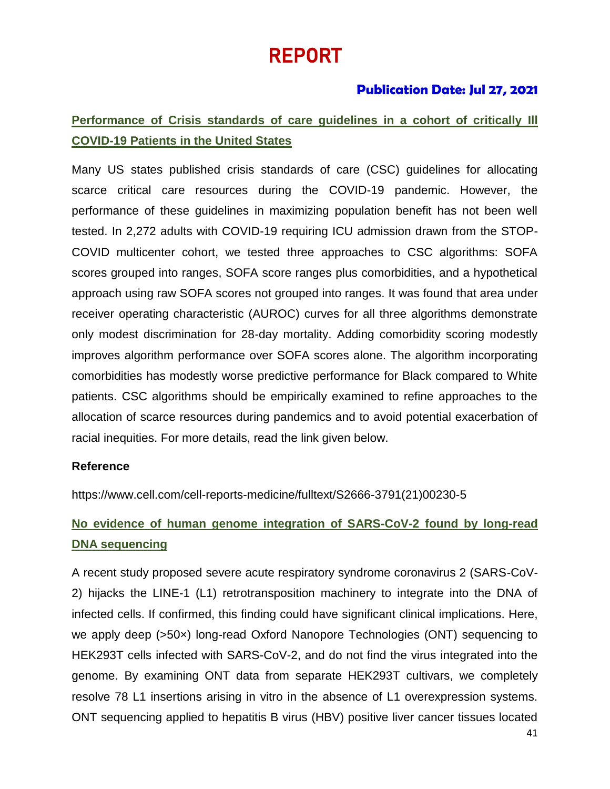# REPORT

### **Publication Date: Jul 27, 2021**

# **Performance of Crisis standards of care guidelines in a cohort of critically Ill COVID-19 Patients in the United States**

Many US states published crisis standards of care (CSC) guidelines for allocating scarce critical care resources during the COVID-19 pandemic. However, the performance of these guidelines in maximizing population benefit has not been well tested. In 2,272 adults with COVID-19 requiring ICU admission drawn from the STOP-COVID multicenter cohort, we tested three approaches to CSC algorithms: SOFA scores grouped into ranges, SOFA score ranges plus comorbidities, and a hypothetical approach using raw SOFA scores not grouped into ranges. It was found that area under receiver operating characteristic (AUROC) curves for all three algorithms demonstrate only modest discrimination for 28-day mortality. Adding comorbidity scoring modestly improves algorithm performance over SOFA scores alone. The algorithm incorporating comorbidities has modestly worse predictive performance for Black compared to White patients. CSC algorithms should be empirically examined to refine approaches to the allocation of scarce resources during pandemics and to avoid potential exacerbation of racial inequities. For more details, read the link given below.

#### **Reference**

https://www.cell.com/cell-reports-medicine/fulltext/S2666-3791(21)00230-5

# **No evidence of human genome integration of SARS-CoV-2 found by long-read DNA sequencing**

A recent study proposed severe acute respiratory syndrome coronavirus 2 (SARS-CoV-2) hijacks the LINE-1 (L1) retrotransposition machinery to integrate into the DNA of infected cells. If confirmed, this finding could have significant clinical implications. Here, we apply deep (>50×) long-read Oxford Nanopore Technologies (ONT) sequencing to HEK293T cells infected with SARS-CoV-2, and do not find the virus integrated into the genome. By examining ONT data from separate HEK293T cultivars, we completely resolve 78 L1 insertions arising in vitro in the absence of L1 overexpression systems. ONT sequencing applied to hepatitis B virus (HBV) positive liver cancer tissues located